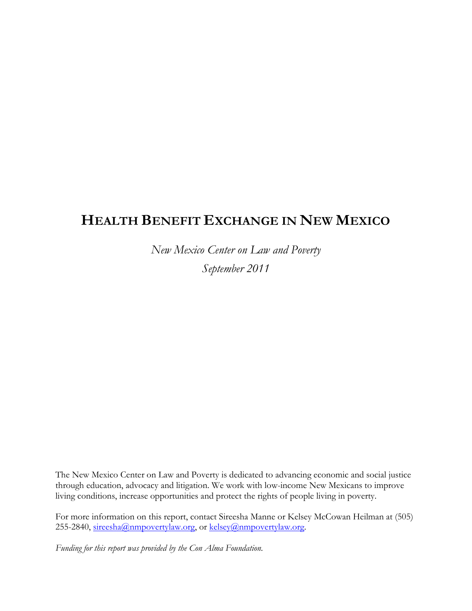# HEALTH BENEFIT EXCHANGE IN NEW MEXICO

New Mexico Center on Law and Poverty September 2011

The New Mexico Center on Law and Poverty is dedicated to advancing economic and social justice through education, advocacy and litigation. We work with low-income New Mexicans to improve living conditions, increase opportunities and protect the rights of people living in poverty.

For more information on this report, contact Sireesha Manne or Kelsey McCowan Heilman at (505) 255-2840, sireesha@nmpovertylaw.org, or kelsey@nmpovertylaw.org.

Funding for this report was provided by the Con Alma Foundation.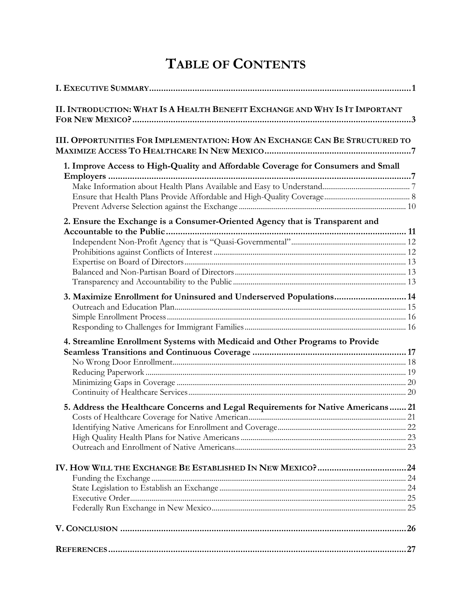# TABLE OF CONTENTS

| II. INTRODUCTION: WHAT IS A HEALTH BENEFIT EXCHANGE AND WHY IS IT IMPORTANT       |  |
|-----------------------------------------------------------------------------------|--|
| III. OPPORTUNITIES FOR IMPLEMENTATION: HOW AN EXCHANGE CAN BE STRUCTURED TO       |  |
| 1. Improve Access to High-Quality and Affordable Coverage for Consumers and Small |  |
|                                                                                   |  |
| 2. Ensure the Exchange is a Consumer-Oriented Agency that is Transparent and      |  |
|                                                                                   |  |
|                                                                                   |  |
|                                                                                   |  |
|                                                                                   |  |
|                                                                                   |  |
|                                                                                   |  |
| 3. Maximize Enrollment for Uninsured and Underserved Populations 14               |  |
|                                                                                   |  |
|                                                                                   |  |
|                                                                                   |  |
| 4. Streamline Enrollment Systems with Medicaid and Other Programs to Provide      |  |
|                                                                                   |  |
|                                                                                   |  |
|                                                                                   |  |
|                                                                                   |  |
|                                                                                   |  |
| 5. Address the Healthcare Concerns and Legal Requirements for Native Americans 21 |  |
|                                                                                   |  |
|                                                                                   |  |
|                                                                                   |  |
|                                                                                   |  |
|                                                                                   |  |
|                                                                                   |  |
|                                                                                   |  |
|                                                                                   |  |
|                                                                                   |  |
|                                                                                   |  |
|                                                                                   |  |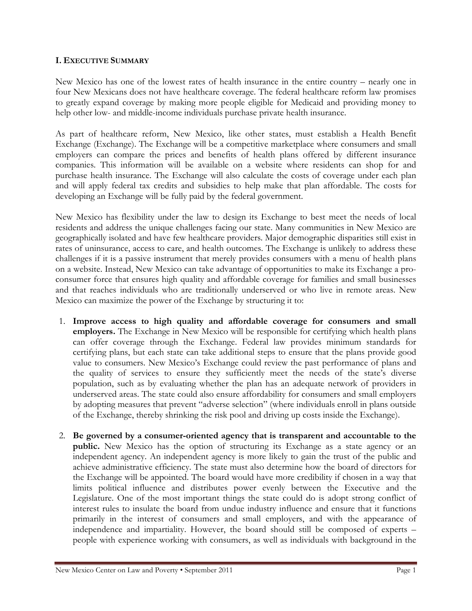#### I. EXECUTIVE SUMMARY

New Mexico has one of the lowest rates of health insurance in the entire country – nearly one in four New Mexicans does not have healthcare coverage. The federal healthcare reform law promises to greatly expand coverage by making more people eligible for Medicaid and providing money to help other low- and middle-income individuals purchase private health insurance.

As part of healthcare reform, New Mexico, like other states, must establish a Health Benefit Exchange (Exchange). The Exchange will be a competitive marketplace where consumers and small employers can compare the prices and benefits of health plans offered by different insurance companies. This information will be available on a website where residents can shop for and purchase health insurance. The Exchange will also calculate the costs of coverage under each plan and will apply federal tax credits and subsidies to help make that plan affordable. The costs for developing an Exchange will be fully paid by the federal government.

New Mexico has flexibility under the law to design its Exchange to best meet the needs of local residents and address the unique challenges facing our state. Many communities in New Mexico are geographically isolated and have few healthcare providers. Major demographic disparities still exist in rates of uninsurance, access to care, and health outcomes. The Exchange is unlikely to address these challenges if it is a passive instrument that merely provides consumers with a menu of health plans on a website. Instead, New Mexico can take advantage of opportunities to make its Exchange a proconsumer force that ensures high quality and affordable coverage for families and small businesses and that reaches individuals who are traditionally underserved or who live in remote areas. New Mexico can maximize the power of the Exchange by structuring it to:

- 1. Improve access to high quality and affordable coverage for consumers and small employers. The Exchange in New Mexico will be responsible for certifying which health plans can offer coverage through the Exchange. Federal law provides minimum standards for certifying plans, but each state can take additional steps to ensure that the plans provide good value to consumers. New Mexico's Exchange could review the past performance of plans and the quality of services to ensure they sufficiently meet the needs of the state's diverse population, such as by evaluating whether the plan has an adequate network of providers in underserved areas. The state could also ensure affordability for consumers and small employers by adopting measures that prevent "adverse selection" (where individuals enroll in plans outside of the Exchange, thereby shrinking the risk pool and driving up costs inside the Exchange).
- 2. Be governed by a consumer-oriented agency that is transparent and accountable to the public. New Mexico has the option of structuring its Exchange as a state agency or an independent agency. An independent agency is more likely to gain the trust of the public and achieve administrative efficiency. The state must also determine how the board of directors for the Exchange will be appointed. The board would have more credibility if chosen in a way that limits political influence and distributes power evenly between the Executive and the Legislature. One of the most important things the state could do is adopt strong conflict of interest rules to insulate the board from undue industry influence and ensure that it functions primarily in the interest of consumers and small employers, and with the appearance of independence and impartiality. However, the board should still be composed of experts – people with experience working with consumers, as well as individuals with background in the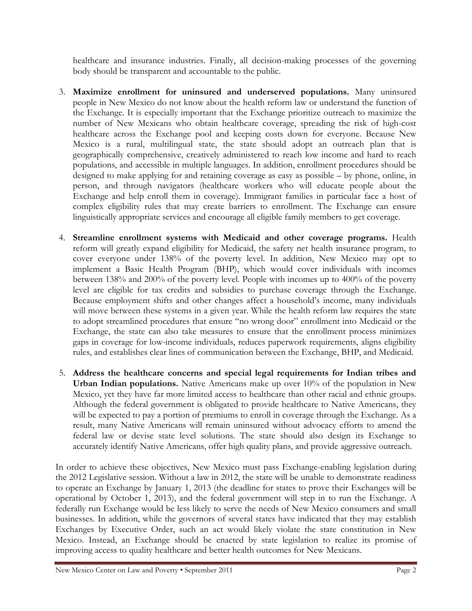healthcare and insurance industries. Finally, all decision-making processes of the governing body should be transparent and accountable to the public.

- 3. Maximize enrollment for uninsured and underserved populations. Many uninsured people in New Mexico do not know about the health reform law or understand the function of the Exchange. It is especially important that the Exchange prioritize outreach to maximize the number of New Mexicans who obtain healthcare coverage, spreading the risk of high-cost healthcare across the Exchange pool and keeping costs down for everyone. Because New Mexico is a rural, multilingual state, the state should adopt an outreach plan that is geographically comprehensive, creatively administered to reach low income and hard to reach populations, and accessible in multiple languages. In addition, enrollment procedures should be designed to make applying for and retaining coverage as easy as possible – by phone, online, in person, and through navigators (healthcare workers who will educate people about the Exchange and help enroll them in coverage). Immigrant families in particular face a host of complex eligibility rules that may create barriers to enrollment. The Exchange can ensure linguistically appropriate services and encourage all eligible family members to get coverage.
- 4. Streamline enrollment systems with Medicaid and other coverage programs. Health reform will greatly expand eligibility for Medicaid, the safety net health insurance program, to cover everyone under 138% of the poverty level. In addition, New Mexico may opt to implement a Basic Health Program (BHP), which would cover individuals with incomes between 138% and 200% of the poverty level. People with incomes up to 400% of the poverty level are eligible for tax credits and subsidies to purchase coverage through the Exchange. Because employment shifts and other changes affect a household's income, many individuals will move between these systems in a given year. While the health reform law requires the state to adopt streamlined procedures that ensure "no wrong door" enrollment into Medicaid or the Exchange, the state can also take measures to ensure that the enrollment process minimizes gaps in coverage for low-income individuals, reduces paperwork requirements, aligns eligibility rules, and establishes clear lines of communication between the Exchange, BHP, and Medicaid.
- 5. Address the healthcare concerns and special legal requirements for Indian tribes and Urban Indian populations. Native Americans make up over 10% of the population in New Mexico, yet they have far more limited access to healthcare than other racial and ethnic groups. Although the federal government is obligated to provide healthcare to Native Americans, they will be expected to pay a portion of premiums to enroll in coverage through the Exchange. As a result, many Native Americans will remain uninsured without advocacy efforts to amend the federal law or devise state level solutions. The state should also design its Exchange to accurately identify Native Americans, offer high quality plans, and provide aggressive outreach.

In order to achieve these objectives, New Mexico must pass Exchange-enabling legislation during the 2012 Legislative session. Without a law in 2012, the state will be unable to demonstrate readiness to operate an Exchange by January 1, 2013 (the deadline for states to prove their Exchanges will be operational by October 1, 2013), and the federal government will step in to run the Exchange. A federally run Exchange would be less likely to serve the needs of New Mexico consumers and small businesses. In addition, while the governors of several states have indicated that they may establish Exchanges by Executive Order, such an act would likely violate the state constitution in New Mexico. Instead, an Exchange should be enacted by state legislation to realize its promise of improving access to quality healthcare and better health outcomes for New Mexicans.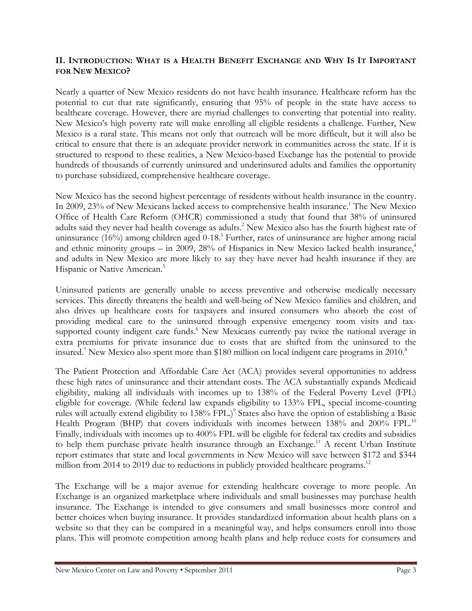#### II. INTRODUCTION: WHAT IS A HEALTH BENEFIT EXCHANGE AND WHY IS IT IMPORTANT FOR NEW MEXICO?

Nearly a quarter of New Mexico residents do not have health insurance. Healthcare reform has the potential to cut that rate significantly, ensuring that 95% of people in the state have access to healthcare coverage. However, there are myriad challenges to converting that potential into reality. New Mexico's high poverty rate will make enrolling all eligible residents a challenge. Further, New Mexico is a rural state. This means not only that outreach will be more difficult, but it will also be critical to ensure that there is an adequate provider network in communities across the state. If it is structured to respond to these realities, a New Mexico-based Exchange has the potential to provide hundreds of thousands of currently uninsured and underinsured adults and families the opportunity to purchase subsidized, comprehensive healthcare coverage.

New Mexico has the second highest percentage of residents without health insurance in the country. In 2009, 23% of New Mexicans lacked access to comprehensive health insurance.<sup>1</sup> The New Mexico Office of Health Care Reform (OHCR) commissioned a study that found that 38% of uninsured adults said they never had health coverage as adults.<sup>2</sup> New Mexico also has the fourth highest rate of uninsurance (16%) among children aged 0-18.<sup>3</sup> Further, rates of uninsurance are higher among racial and ethnic minority groups – in 2009, 28% of Hispanics in New Mexico lacked health insurance,<sup>4</sup> and adults in New Mexico are more likely to say they have never had health insurance if they are Hispanic or Native American.<sup>5</sup>

Uninsured patients are generally unable to access preventive and otherwise medically necessary services. This directly threatens the health and well-being of New Mexico families and children, and also drives up healthcare costs for taxpayers and insured consumers who absorb the cost of providing medical care to the uninsured through expensive emergency room visits and taxsupported county indigent care funds.<sup>6</sup> New Mexicans currently pay twice the national average in extra premiums for private insurance due to costs that are shifted from the uninsured to the insured.<sup>7</sup> New Mexico also spent more than \$180 million on local indigent care programs in 2010.<sup>8</sup>

The Patient Protection and Affordable Care Act (ACA) provides several opportunities to address these high rates of uninsurance and their attendant costs. The ACA substantially expands Medicaid eligibility, making all individuals with incomes up to 138% of the Federal Poverty Level (FPL) eligible for coverage. (While federal law expands eligibility to 133% FPL, special income-counting rules will actually extend eligibility to 138% FPL.) 9 States also have the option of establishing a Basic Health Program (BHP) that covers individuals with incomes between 138% and 200% FPL.<sup>10</sup> Finally, individuals with incomes up to 400% FPL will be eligible for federal tax credits and subsidies to help them purchase private health insurance through an Exchange.<sup>11</sup> A recent Urban Institute report estimates that state and local governments in New Mexico will save between \$172 and \$344 million from 2014 to 2019 due to reductions in publicly provided healthcare programs.<sup>12</sup>

The Exchange will be a major avenue for extending healthcare coverage to more people. An Exchange is an organized marketplace where individuals and small businesses may purchase health insurance. The Exchange is intended to give consumers and small businesses more control and better choices when buying insurance. It provides standardized information about health plans on a website so that they can be compared in a meaningful way, and helps consumers enroll into those plans. This will promote competition among health plans and help reduce costs for consumers and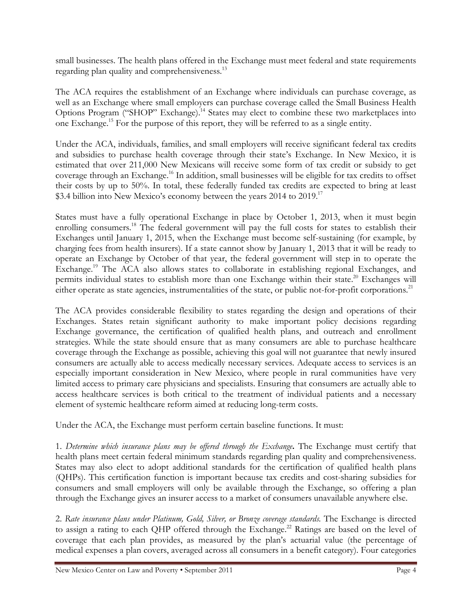small businesses. The health plans offered in the Exchange must meet federal and state requirements regarding plan quality and comprehensiveness.<sup>13</sup>

The ACA requires the establishment of an Exchange where individuals can purchase coverage, as well as an Exchange where small employers can purchase coverage called the Small Business Health Options Program ("SHOP" Exchange).<sup>14</sup> States may elect to combine these two marketplaces into one Exchange.<sup>15</sup> For the purpose of this report, they will be referred to as a single entity.

Under the ACA, individuals, families, and small employers will receive significant federal tax credits and subsidies to purchase health coverage through their state's Exchange. In New Mexico, it is estimated that over 211,000 New Mexicans will receive some form of tax credit or subsidy to get coverage through an Exchange.<sup>16</sup> In addition, small businesses will be eligible for tax credits to offset their costs by up to 50%. In total, these federally funded tax credits are expected to bring at least \$3.4 billion into New Mexico's economy between the years 2014 to 2019.<sup>17</sup>

States must have a fully operational Exchange in place by October 1, 2013, when it must begin enrolling consumers.<sup>18</sup> The federal government will pay the full costs for states to establish their Exchanges until January 1, 2015, when the Exchange must become self-sustaining (for example, by charging fees from health insurers). If a state cannot show by January 1, 2013 that it will be ready to operate an Exchange by October of that year, the federal government will step in to operate the Exchange.<sup>19</sup> The ACA also allows states to collaborate in establishing regional Exchanges, and permits individual states to establish more than one Exchange within their state.<sup>20</sup> Exchanges will either operate as state agencies, instrumentalities of the state, or public not-for-profit corporations.<sup>21</sup>

The ACA provides considerable flexibility to states regarding the design and operations of their Exchanges. States retain significant authority to make important policy decisions regarding Exchange governance, the certification of qualified health plans, and outreach and enrollment strategies. While the state should ensure that as many consumers are able to purchase healthcare coverage through the Exchange as possible, achieving this goal will not guarantee that newly insured consumers are actually able to access medically necessary services. Adequate access to services is an especially important consideration in New Mexico, where people in rural communities have very limited access to primary care physicians and specialists. Ensuring that consumers are actually able to access healthcare services is both critical to the treatment of individual patients and a necessary element of systemic healthcare reform aimed at reducing long-term costs.

Under the ACA, the Exchange must perform certain baseline functions. It must:

1. Determine which insurance plans may be offered through the Exchange. The Exchange must certify that health plans meet certain federal minimum standards regarding plan quality and comprehensiveness. States may also elect to adopt additional standards for the certification of qualified health plans (QHPs). This certification function is important because tax credits and cost-sharing subsidies for consumers and small employers will only be available through the Exchange, so offering a plan through the Exchange gives an insurer access to a market of consumers unavailable anywhere else.

2. Rate insurance plans under Platinum, Gold, Silver, or Bronze coverage standards. The Exchange is directed to assign a rating to each QHP offered through the Exchange.<sup>22</sup> Ratings are based on the level of coverage that each plan provides, as measured by the plan's actuarial value (the percentage of medical expenses a plan covers, averaged across all consumers in a benefit category). Four categories

New Mexico Center on Law and Poverty • September 2011 Page 4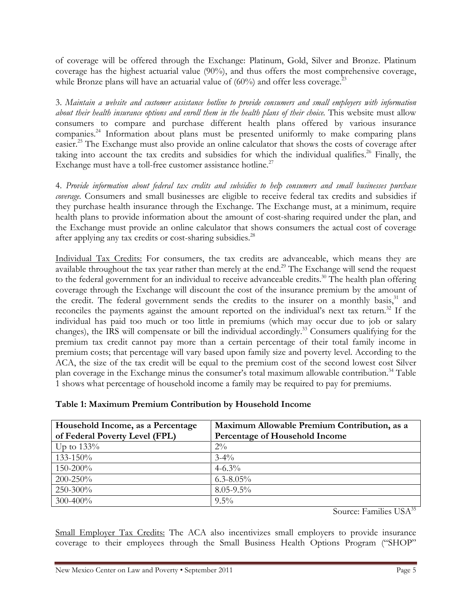of coverage will be offered through the Exchange: Platinum, Gold, Silver and Bronze. Platinum coverage has the highest actuarial value (90%), and thus offers the most comprehensive coverage, while Bronze plans will have an actuarial value of  $(60\%)$  and offer less coverage.<sup>23</sup>

3. Maintain a website and customer assistance hotline to provide consumers and small employers with information about their health insurance options and enroll them in the health plans of their choice. This website must allow consumers to compare and purchase different health plans offered by various insurance companies.<sup>24</sup> Information about plans must be presented uniformly to make comparing plans easier.<sup>25</sup> The Exchange must also provide an online calculator that shows the costs of coverage after taking into account the tax credits and subsidies for which the individual qualifies.<sup>26</sup> Finally, the Exchange must have a toll-free customer assistance hotline.<sup>27</sup>

4. Provide information about federal tax credits and subsidies to help consumers and small businesses purchase coverage. Consumers and small businesses are eligible to receive federal tax credits and subsidies if they purchase health insurance through the Exchange. The Exchange must, at a minimum, require health plans to provide information about the amount of cost-sharing required under the plan, and the Exchange must provide an online calculator that shows consumers the actual cost of coverage after applying any tax credits or cost-sharing subsidies.<sup>28</sup>

Individual Tax Credits: For consumers, the tax credits are advanceable, which means they are available throughout the tax year rather than merely at the end.<sup>29</sup> The Exchange will send the request to the federal government for an individual to receive advanceable credits.<sup>30</sup> The health plan offering coverage through the Exchange will discount the cost of the insurance premium by the amount of the credit. The federal government sends the credits to the insurer on a monthly basis,<sup>31</sup> and reconciles the payments against the amount reported on the individual's next tax return.<sup>32</sup> If the individual has paid too much or too little in premiums (which may occur due to job or salary changes), the IRS will compensate or bill the individual accordingly.<sup>33</sup> Consumers qualifying for the premium tax credit cannot pay more than a certain percentage of their total family income in premium costs; that percentage will vary based upon family size and poverty level. According to the ACA, the size of the tax credit will be equal to the premium cost of the second lowest cost Silver plan coverage in the Exchange minus the consumer's total maximum allowable contribution.<sup>34</sup> Table 1 shows what percentage of household income a family may be required to pay for premiums.

| Table 1: Maximum Premium Contribution by Household Income |  |  |  |  |  |
|-----------------------------------------------------------|--|--|--|--|--|
|-----------------------------------------------------------|--|--|--|--|--|

| Household Income, as a Percentage | Maximum Allowable Premium Contribution, as a |
|-----------------------------------|----------------------------------------------|
| of Federal Poverty Level (FPL)    | Percentage of Household Income               |
| Up to $133\%$                     | $2\%$                                        |
| $133 - 150\%$                     | $3 - 4\%$                                    |
| $150 - 200\%$                     | $4 - 6.3\%$                                  |
| $200 - 250\%$                     | $6.3 - 8.05\%$                               |
| $250 - 300\%$                     | $8.05 - 9.5\%$                               |
| $300 - 400\%$                     | $9.5\%$                                      |

Source: Families USA<sup>35</sup>

Small Employer Tax Credits: The ACA also incentivizes small employers to provide insurance coverage to their employees through the Small Business Health Options Program ("SHOP"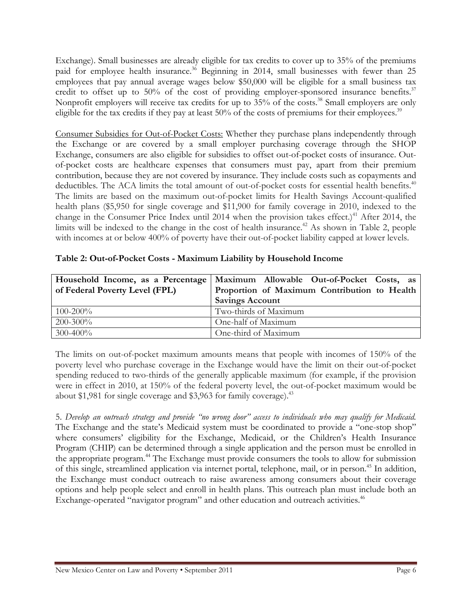Exchange). Small businesses are already eligible for tax credits to cover up to 35% of the premiums paid for employee health insurance.<sup>36</sup> Beginning in 2014, small businesses with fewer than 25 employees that pay annual average wages below \$50,000 will be eligible for a small business tax credit to offset up to 50% of the cost of providing employer-sponsored insurance benefits.<sup>37</sup> Nonprofit employers will receive tax credits for up to 35% of the costs.<sup>38</sup> Small employers are only eligible for the tax credits if they pay at least  $50\%$  of the costs of premiums for their employees.<sup>39</sup>

Consumer Subsidies for Out-of-Pocket Costs: Whether they purchase plans independently through the Exchange or are covered by a small employer purchasing coverage through the SHOP Exchange, consumers are also eligible for subsidies to offset out-of-pocket costs of insurance. Outof-pocket costs are healthcare expenses that consumers must pay, apart from their premium contribution, because they are not covered by insurance. They include costs such as copayments and deductibles. The ACA limits the total amount of out-of-pocket costs for essential health benefits.<sup>40</sup> The limits are based on the maximum out-of-pocket limits for Health Savings Account-qualified health plans (\$5,950 for single coverage and \$11,900 for family coverage in 2010, indexed to the change in the Consumer Price Index until 2014 when the provision takes effect.)<sup>41</sup> After 2014, the limits will be indexed to the change in the cost of health insurance.<sup> $42$ </sup> As shown in Table 2, people with incomes at or below 400% of poverty have their out-of-pocket liability capped at lower levels.

|                                | Household Income, as a Percentage Maximum Allowable Out-of-Pocket Costs, as |
|--------------------------------|-----------------------------------------------------------------------------|
| of Federal Poverty Level (FPL) | Proportion of Maximum Contribution to Health                                |
|                                | <b>Savings Account</b>                                                      |
| $100 - 200\%$                  | Two-thirds of Maximum                                                       |
| $200 - 300\%$                  | One-half of Maximum                                                         |
| $300 - 400\%$                  | One-third of Maximum                                                        |

#### Table 2: Out-of-Pocket Costs - Maximum Liability by Household Income

The limits on out-of-pocket maximum amounts means that people with incomes of 150% of the poverty level who purchase coverage in the Exchange would have the limit on their out-of-pocket spending reduced to two-thirds of the generally applicable maximum (for example, if the provision were in effect in 2010, at 150% of the federal poverty level, the out-of-pocket maximum would be about \$1,981 for single coverage and \$3,963 for family coverage). $43$ 

5. Develop an outreach strategy and provide "no wrong door" access to individuals who may qualify for Medicaid. The Exchange and the state's Medicaid system must be coordinated to provide a "one-stop shop" where consumers' eligibility for the Exchange, Medicaid, or the Children's Health Insurance Program (CHIP) can be determined through a single application and the person must be enrolled in the appropriate program.<sup>44</sup> The Exchange must provide consumers the tools to allow for submission of this single, streamlined application via internet portal, telephone, mail, or in person.<sup>45</sup> In addition, the Exchange must conduct outreach to raise awareness among consumers about their coverage options and help people select and enroll in health plans. This outreach plan must include both an Exchange-operated "navigator program" and other education and outreach activities.<sup>46</sup>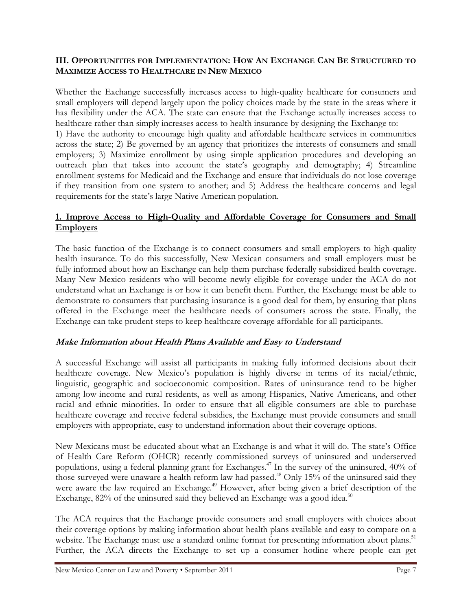#### III. OPPORTUNITIES FOR IMPLEMENTATION: HOW AN EXCHANGE CAN BE STRUCTURED TO MAXIMIZE ACCESS TO HEALTHCARE IN NEW MEXICO

Whether the Exchange successfully increases access to high-quality healthcare for consumers and small employers will depend largely upon the policy choices made by the state in the areas where it has flexibility under the ACA. The state can ensure that the Exchange actually increases access to healthcare rather than simply increases access to health insurance by designing the Exchange to:

1) Have the authority to encourage high quality and affordable healthcare services in communities across the state; 2) Be governed by an agency that prioritizes the interests of consumers and small employers; 3) Maximize enrollment by using simple application procedures and developing an outreach plan that takes into account the state's geography and demography; 4) Streamline enrollment systems for Medicaid and the Exchange and ensure that individuals do not lose coverage if they transition from one system to another; and 5) Address the healthcare concerns and legal requirements for the state's large Native American population.

#### 1. Improve Access to High-Quality and Affordable Coverage for Consumers and Small **Employers**

The basic function of the Exchange is to connect consumers and small employers to high-quality health insurance. To do this successfully, New Mexican consumers and small employers must be fully informed about how an Exchange can help them purchase federally subsidized health coverage. Many New Mexico residents who will become newly eligible for coverage under the ACA do not understand what an Exchange is or how it can benefit them. Further, the Exchange must be able to demonstrate to consumers that purchasing insurance is a good deal for them, by ensuring that plans offered in the Exchange meet the healthcare needs of consumers across the state. Finally, the Exchange can take prudent steps to keep healthcare coverage affordable for all participants.

#### Make Information about Health Plans Available and Easy to Understand

A successful Exchange will assist all participants in making fully informed decisions about their healthcare coverage. New Mexico's population is highly diverse in terms of its racial/ethnic, linguistic, geographic and socioeconomic composition. Rates of uninsurance tend to be higher among low-income and rural residents, as well as among Hispanics, Native Americans, and other racial and ethnic minorities. In order to ensure that all eligible consumers are able to purchase healthcare coverage and receive federal subsidies, the Exchange must provide consumers and small employers with appropriate, easy to understand information about their coverage options.

New Mexicans must be educated about what an Exchange is and what it will do. The state's Office of Health Care Reform (OHCR) recently commissioned surveys of uninsured and underserved populations, using a federal planning grant for Exchanges.<sup>47</sup> In the survey of the uninsured, 40% of those surveyed were unaware a health reform law had passed.<sup>48</sup> Only 15% of the uninsured said they were aware the law required an Exchange.<sup>49</sup> However, after being given a brief description of the Exchange,  $82\%$  of the uninsured said they believed an Exchange was a good idea.<sup>50</sup>

The ACA requires that the Exchange provide consumers and small employers with choices about their coverage options by making information about health plans available and easy to compare on a website. The Exchange must use a standard online format for presenting information about plans.<sup>51</sup> Further, the ACA directs the Exchange to set up a consumer hotline where people can get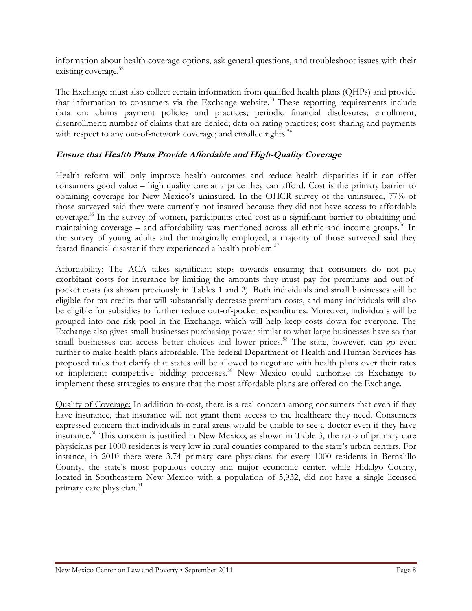information about health coverage options, ask general questions, and troubleshoot issues with their existing coverage.<sup>52</sup>

The Exchange must also collect certain information from qualified health plans (QHPs) and provide that information to consumers via the Exchange website.<sup>53</sup> These reporting requirements include data on: claims payment policies and practices; periodic financial disclosures; enrollment; disenrollment; number of claims that are denied; data on rating practices; cost sharing and payments with respect to any out-of-network coverage; and enrollee rights.<sup>54</sup>

#### Ensure that Health Plans Provide Affordable and High-Quality Coverage

Health reform will only improve health outcomes and reduce health disparities if it can offer consumers good value – high quality care at a price they can afford. Cost is the primary barrier to obtaining coverage for New Mexico's uninsured. In the OHCR survey of the uninsured, 77% of those surveyed said they were currently not insured because they did not have access to affordable coverage.<sup>55</sup> In the survey of women, participants cited cost as a significant barrier to obtaining and maintaining coverage – and affordability was mentioned across all ethnic and income groups.<sup>56</sup> In the survey of young adults and the marginally employed, a majority of those surveyed said they feared financial disaster if they experienced a health problem.<sup>57</sup>

Affordability: The ACA takes significant steps towards ensuring that consumers do not pay exorbitant costs for insurance by limiting the amounts they must pay for premiums and out-ofpocket costs (as shown previously in Tables 1 and 2). Both individuals and small businesses will be eligible for tax credits that will substantially decrease premium costs, and many individuals will also be eligible for subsidies to further reduce out-of-pocket expenditures. Moreover, individuals will be grouped into one risk pool in the Exchange, which will help keep costs down for everyone. The Exchange also gives small businesses purchasing power similar to what large businesses have so that small businesses can access better choices and lower prices.<sup>58</sup> The state, however, can go even further to make health plans affordable. The federal Department of Health and Human Services has proposed rules that clarify that states will be allowed to negotiate with health plans over their rates or implement competitive bidding processes.<sup>59</sup> New Mexico could authorize its Exchange to implement these strategies to ensure that the most affordable plans are offered on the Exchange.

Quality of Coverage: In addition to cost, there is a real concern among consumers that even if they have insurance, that insurance will not grant them access to the healthcare they need. Consumers expressed concern that individuals in rural areas would be unable to see a doctor even if they have insurance.<sup>60</sup> This concern is justified in New Mexico; as shown in Table 3, the ratio of primary care physicians per 1000 residents is very low in rural counties compared to the state's urban centers. For instance, in 2010 there were 3.74 primary care physicians for every 1000 residents in Bernalillo County, the state's most populous county and major economic center, while Hidalgo County, located in Southeastern New Mexico with a population of 5,932, did not have a single licensed primary care physician.<sup>61</sup>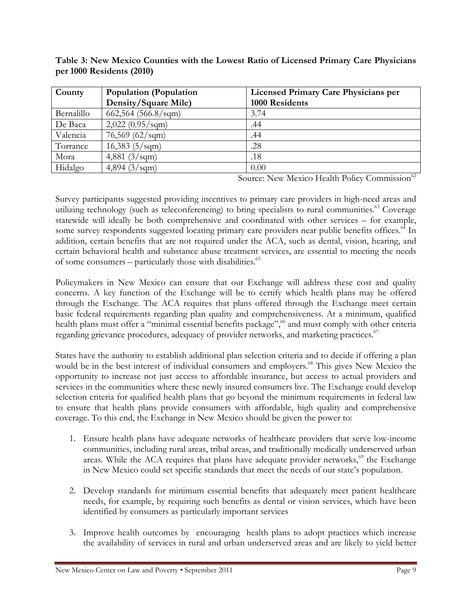| County     | Population (Population   | <b>Licensed Primary Care Physicians per</b> |
|------------|--------------------------|---------------------------------------------|
|            | Density/Square Mile)     | 1000 Residents                              |
| Bernalillo | $662,564$ (566.8/sqm)    | 3.74                                        |
| De Baca    | $2,022(0.95/\text{sgm})$ | .44                                         |
| Valencia   | $76,569$ (62/sqm)        | .44                                         |
| Torrance   | $16,383$ (5/sqm)         | .28                                         |
| Mora       | 4,881 $(3/sqm)$          | .18                                         |
| Hidalgo    | 4,894 $(3/sqm)$          | 0.00                                        |

Table 3: New Mexico Counties with the Lowest Ratio of Licensed Primary Care Physicians per 1000 Residents (2010)

Source: New Mexico Health Policy Commission<sup>62</sup>

Survey participants suggested providing incentives to primary care providers in high-need areas and utilizing technology (such as teleconferencing) to bring specialists to rural communities.<sup>63</sup> Coverage statewide will ideally be both comprehensive and coordinated with other services – for example, some survey respondents suggested locating primary care providers near public benefits offices.<sup>64</sup> In addition, certain benefits that are not required under the ACA, such as dental, vision, hearing, and certain behavioral health and substance abuse treatment services, are essential to meeting the needs of some consumers – particularly those with disabilities. $65$ 

Policymakers in New Mexico can ensure that our Exchange will address these cost and quality concerns. A key function of the Exchange will be to certify which health plans may be offered through the Exchange. The ACA requires that plans offered through the Exchange meet certain basic federal requirements regarding plan quality and comprehensiveness. At a minimum, qualified health plans must offer a "minimal essential benefits package",<sup>66</sup> and must comply with other criteria regarding grievance procedures, adequacy of provider networks, and marketing practices.<sup>67</sup>

States have the authority to establish additional plan selection criteria and to decide if offering a plan would be in the best interest of individual consumers and employers.<sup>68</sup> This gives New Mexico the opportunity to increase not just access to affordable insurance, but access to actual providers and services in the communities where these newly insured consumers live. The Exchange could develop selection criteria for qualified health plans that go beyond the minimum requirements in federal law to ensure that health plans provide consumers with affordable, high quality and comprehensive coverage. To this end, the Exchange in New Mexico should be given the power to:

- 1. Ensure health plans have adequate networks of healthcare providers that serve low-income communities, including rural areas, tribal areas, and traditionally medically underserved urban areas. While the ACA requires that plans have adequate provider networks, $69$  the Exchange in New Mexico could set specific standards that meet the needs of our state's population.
- 2. Develop standards for minimum essential benefits that adequately meet patient healthcare needs, for example, by requiring such benefits as dental or vision services, which have been identified by consumers as particularly important services
- 3. Improve health outcomes by encouraging health plans to adopt practices which increase the availability of services in rural and urban underserved areas and are likely to yield better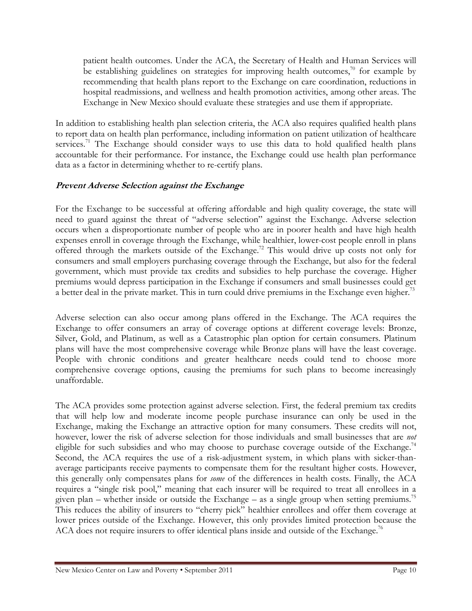patient health outcomes. Under the ACA, the Secretary of Health and Human Services will be establishing guidelines on strategies for improving health outcomes,<sup>70</sup> for example by recommending that health plans report to the Exchange on care coordination, reductions in hospital readmissions, and wellness and health promotion activities, among other areas. The Exchange in New Mexico should evaluate these strategies and use them if appropriate.

In addition to establishing health plan selection criteria, the ACA also requires qualified health plans to report data on health plan performance, including information on patient utilization of healthcare services.<sup>71</sup> The Exchange should consider ways to use this data to hold qualified health plans accountable for their performance. For instance, the Exchange could use health plan performance data as a factor in determining whether to re-certify plans.

#### Prevent Adverse Selection against the Exchange

For the Exchange to be successful at offering affordable and high quality coverage, the state will need to guard against the threat of "adverse selection" against the Exchange. Adverse selection occurs when a disproportionate number of people who are in poorer health and have high health expenses enroll in coverage through the Exchange, while healthier, lower-cost people enroll in plans offered through the markets outside of the Exchange.<sup>72</sup> This would drive up costs not only for consumers and small employers purchasing coverage through the Exchange, but also for the federal government, which must provide tax credits and subsidies to help purchase the coverage. Higher premiums would depress participation in the Exchange if consumers and small businesses could get a better deal in the private market. This in turn could drive premiums in the Exchange even higher.<sup>73</sup>

Adverse selection can also occur among plans offered in the Exchange. The ACA requires the Exchange to offer consumers an array of coverage options at different coverage levels: Bronze, Silver, Gold, and Platinum, as well as a Catastrophic plan option for certain consumers. Platinum plans will have the most comprehensive coverage while Bronze plans will have the least coverage. People with chronic conditions and greater healthcare needs could tend to choose more comprehensive coverage options, causing the premiums for such plans to become increasingly unaffordable.

The ACA provides some protection against adverse selection. First, the federal premium tax credits that will help low and moderate income people purchase insurance can only be used in the Exchange, making the Exchange an attractive option for many consumers. These credits will not, however, lower the risk of adverse selection for those individuals and small businesses that are *not* eligible for such subsidies and who may choose to purchase coverage outside of the Exchange.<sup>74</sup> Second, the ACA requires the use of a risk-adjustment system, in which plans with sicker-thanaverage participants receive payments to compensate them for the resultant higher costs. However, this generally only compensates plans for some of the differences in health costs. Finally, the ACA requires a "single risk pool," meaning that each insurer will be required to treat all enrollees in a given plan – whether inside or outside the Exchange – as a single group when setting premiums.<sup>75</sup> This reduces the ability of insurers to "cherry pick" healthier enrollees and offer them coverage at lower prices outside of the Exchange. However, this only provides limited protection because the ACA does not require insurers to offer identical plans inside and outside of the Exchange.<sup>76</sup>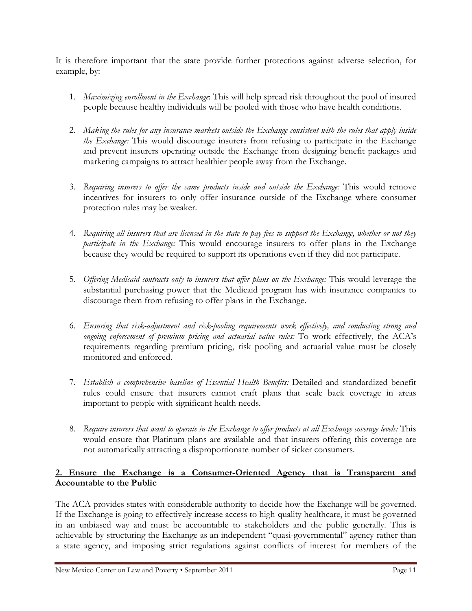It is therefore important that the state provide further protections against adverse selection, for example, by:

- 1. Maximizing enrollment in the Exchange. This will help spread risk throughout the pool of insured people because healthy individuals will be pooled with those who have health conditions.
- 2. Making the rules for any insurance markets outside the Exchange consistent with the rules that apply inside the Exchange: This would discourage insurers from refusing to participate in the Exchange and prevent insurers operating outside the Exchange from designing benefit packages and marketing campaigns to attract healthier people away from the Exchange.
- 3. Requiring insurers to offer the same products inside and outside the Exchange: This would remove incentives for insurers to only offer insurance outside of the Exchange where consumer protection rules may be weaker.
- 4. Requiring all insurers that are licensed in the state to pay fees to support the Exchange, whether or not they participate in the Exchange: This would encourage insurers to offer plans in the Exchange because they would be required to support its operations even if they did not participate.
- 5. Offering Medicaid contracts only to insurers that offer plans on the Exchange: This would leverage the substantial purchasing power that the Medicaid program has with insurance companies to discourage them from refusing to offer plans in the Exchange.
- 6. Ensuring that risk-adjustment and risk-pooling requirements work effectively, and conducting strong and ongoing enforcement of premium pricing and actuarial value rules: To work effectively, the ACA's requirements regarding premium pricing, risk pooling and actuarial value must be closely monitored and enforced.
- 7. Establish a comprehensive baseline of Essential Health Benefits: Detailed and standardized benefit rules could ensure that insurers cannot craft plans that scale back coverage in areas important to people with significant health needs.
- 8. Require insurers that want to operate in the Exchange to offer products at all Exchange coverage levels: This would ensure that Platinum plans are available and that insurers offering this coverage are not automatically attracting a disproportionate number of sicker consumers.

#### 2. Ensure the Exchange is a Consumer-Oriented Agency that is Transparent and Accountable to the Public

The ACA provides states with considerable authority to decide how the Exchange will be governed. If the Exchange is going to effectively increase access to high-quality healthcare, it must be governed in an unbiased way and must be accountable to stakeholders and the public generally. This is achievable by structuring the Exchange as an independent "quasi-governmental" agency rather than a state agency, and imposing strict regulations against conflicts of interest for members of the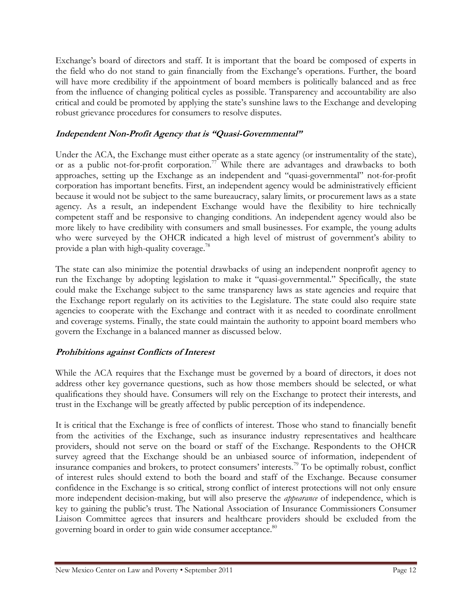Exchange's board of directors and staff. It is important that the board be composed of experts in the field who do not stand to gain financially from the Exchange's operations. Further, the board will have more credibility if the appointment of board members is politically balanced and as free from the influence of changing political cycles as possible. Transparency and accountability are also critical and could be promoted by applying the state's sunshine laws to the Exchange and developing robust grievance procedures for consumers to resolve disputes.

### Independent Non-Profit Agency that is "Quasi-Governmental"

Under the ACA, the Exchange must either operate as a state agency (or instrumentality of the state), or as a public not-for-profit corporation.<sup>77</sup> While there are advantages and drawbacks to both approaches, setting up the Exchange as an independent and "quasi-governmental" not-for-profit corporation has important benefits. First, an independent agency would be administratively efficient because it would not be subject to the same bureaucracy, salary limits, or procurement laws as a state agency. As a result, an independent Exchange would have the flexibility to hire technically competent staff and be responsive to changing conditions. An independent agency would also be more likely to have credibility with consumers and small businesses. For example, the young adults who were surveyed by the OHCR indicated a high level of mistrust of government's ability to provide a plan with high-quality coverage.<sup>78</sup>

The state can also minimize the potential drawbacks of using an independent nonprofit agency to run the Exchange by adopting legislation to make it "quasi-governmental." Specifically, the state could make the Exchange subject to the same transparency laws as state agencies and require that the Exchange report regularly on its activities to the Legislature. The state could also require state agencies to cooperate with the Exchange and contract with it as needed to coordinate enrollment and coverage systems. Finally, the state could maintain the authority to appoint board members who govern the Exchange in a balanced manner as discussed below.

#### Prohibitions against Conflicts of Interest

While the ACA requires that the Exchange must be governed by a board of directors, it does not address other key governance questions, such as how those members should be selected, or what qualifications they should have. Consumers will rely on the Exchange to protect their interests, and trust in the Exchange will be greatly affected by public perception of its independence.

It is critical that the Exchange is free of conflicts of interest. Those who stand to financially benefit from the activities of the Exchange, such as insurance industry representatives and healthcare providers, should not serve on the board or staff of the Exchange. Respondents to the OHCR survey agreed that the Exchange should be an unbiased source of information, independent of insurance companies and brokers, to protect consumers' interests.<sup>79</sup> To be optimally robust, conflict of interest rules should extend to both the board and staff of the Exchange. Because consumer confidence in the Exchange is so critical, strong conflict of interest protections will not only ensure more independent decision-making, but will also preserve the *appearance* of independence, which is key to gaining the public's trust. The National Association of Insurance Commissioners Consumer Liaison Committee agrees that insurers and healthcare providers should be excluded from the governing board in order to gain wide consumer acceptance.<sup>80</sup>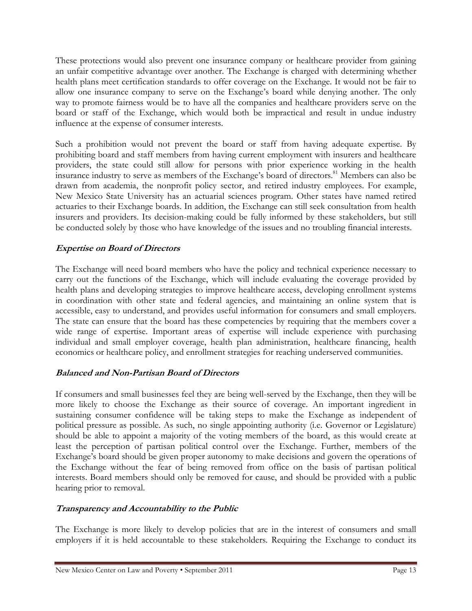These protections would also prevent one insurance company or healthcare provider from gaining an unfair competitive advantage over another. The Exchange is charged with determining whether health plans meet certification standards to offer coverage on the Exchange. It would not be fair to allow one insurance company to serve on the Exchange's board while denying another. The only way to promote fairness would be to have all the companies and healthcare providers serve on the board or staff of the Exchange, which would both be impractical and result in undue industry influence at the expense of consumer interests.

Such a prohibition would not prevent the board or staff from having adequate expertise. By prohibiting board and staff members from having current employment with insurers and healthcare providers, the state could still allow for persons with prior experience working in the health insurance industry to serve as members of the Exchange's board of directors.<sup>81</sup> Members can also be drawn from academia, the nonprofit policy sector, and retired industry employees. For example, New Mexico State University has an actuarial sciences program. Other states have named retired actuaries to their Exchange boards. In addition, the Exchange can still seek consultation from health insurers and providers. Its decision-making could be fully informed by these stakeholders, but still be conducted solely by those who have knowledge of the issues and no troubling financial interests.

# Expertise on Board of Directors

The Exchange will need board members who have the policy and technical experience necessary to carry out the functions of the Exchange, which will include evaluating the coverage provided by health plans and developing strategies to improve healthcare access, developing enrollment systems in coordination with other state and federal agencies, and maintaining an online system that is accessible, easy to understand, and provides useful information for consumers and small employers. The state can ensure that the board has these competencies by requiring that the members cover a wide range of expertise. Important areas of expertise will include experience with purchasing individual and small employer coverage, health plan administration, healthcare financing, health economics or healthcare policy, and enrollment strategies for reaching underserved communities.

# Balanced and Non-Partisan Board of Directors

If consumers and small businesses feel they are being well-served by the Exchange, then they will be more likely to choose the Exchange as their source of coverage. An important ingredient in sustaining consumer confidence will be taking steps to make the Exchange as independent of political pressure as possible. As such, no single appointing authority (i.e. Governor or Legislature) should be able to appoint a majority of the voting members of the board, as this would create at least the perception of partisan political control over the Exchange. Further, members of the Exchange's board should be given proper autonomy to make decisions and govern the operations of the Exchange without the fear of being removed from office on the basis of partisan political interests. Board members should only be removed for cause, and should be provided with a public hearing prior to removal.

#### Transparency and Accountability to the Public

The Exchange is more likely to develop policies that are in the interest of consumers and small employers if it is held accountable to these stakeholders. Requiring the Exchange to conduct its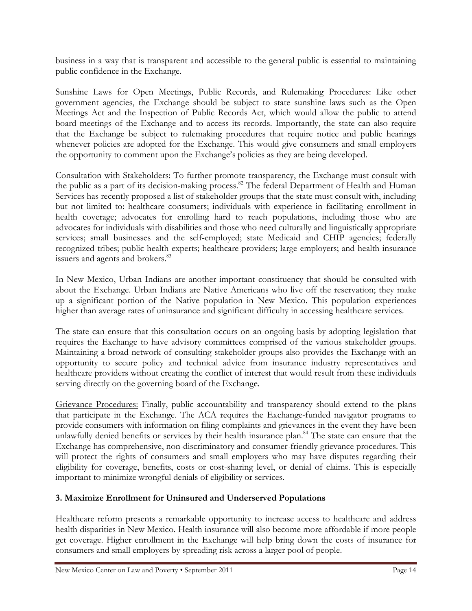business in a way that is transparent and accessible to the general public is essential to maintaining public confidence in the Exchange.

Sunshine Laws for Open Meetings, Public Records, and Rulemaking Procedures: Like other government agencies, the Exchange should be subject to state sunshine laws such as the Open Meetings Act and the Inspection of Public Records Act, which would allow the public to attend board meetings of the Exchange and to access its records. Importantly, the state can also require that the Exchange be subject to rulemaking procedures that require notice and public hearings whenever policies are adopted for the Exchange. This would give consumers and small employers the opportunity to comment upon the Exchange's policies as they are being developed.

Consultation with Stakeholders: To further promote transparency, the Exchange must consult with the public as a part of its decision-making process.<sup>82</sup> The federal Department of Health and Human Services has recently proposed a list of stakeholder groups that the state must consult with, including but not limited to: healthcare consumers; individuals with experience in facilitating enrollment in health coverage; advocates for enrolling hard to reach populations, including those who are advocates for individuals with disabilities and those who need culturally and linguistically appropriate services; small businesses and the self-employed; state Medicaid and CHIP agencies; federally recognized tribes; public health experts; healthcare providers; large employers; and health insurance issuers and agents and brokers.<sup>83</sup>

In New Mexico, Urban Indians are another important constituency that should be consulted with about the Exchange. Urban Indians are Native Americans who live off the reservation; they make up a significant portion of the Native population in New Mexico. This population experiences higher than average rates of uninsurance and significant difficulty in accessing healthcare services.

The state can ensure that this consultation occurs on an ongoing basis by adopting legislation that requires the Exchange to have advisory committees comprised of the various stakeholder groups. Maintaining a broad network of consulting stakeholder groups also provides the Exchange with an opportunity to secure policy and technical advice from insurance industry representatives and healthcare providers without creating the conflict of interest that would result from these individuals serving directly on the governing board of the Exchange.

Grievance Procedures: Finally, public accountability and transparency should extend to the plans that participate in the Exchange. The ACA requires the Exchange-funded navigator programs to provide consumers with information on filing complaints and grievances in the event they have been unlawfully denied benefits or services by their health insurance plan.<sup>84</sup> The state can ensure that the Exchange has comprehensive, non-discriminatory and consumer-friendly grievance procedures. This will protect the rights of consumers and small employers who may have disputes regarding their eligibility for coverage, benefits, costs or cost-sharing level, or denial of claims. This is especially important to minimize wrongful denials of eligibility or services.

#### 3. Maximize Enrollment for Uninsured and Underserved Populations

Healthcare reform presents a remarkable opportunity to increase access to healthcare and address health disparities in New Mexico. Health insurance will also become more affordable if more people get coverage. Higher enrollment in the Exchange will help bring down the costs of insurance for consumers and small employers by spreading risk across a larger pool of people.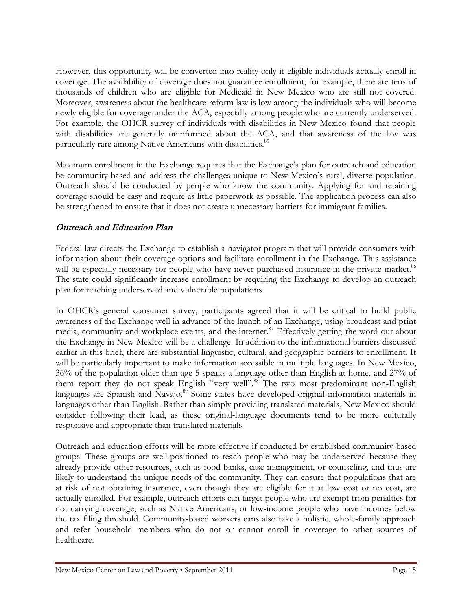However, this opportunity will be converted into reality only if eligible individuals actually enroll in coverage. The availability of coverage does not guarantee enrollment; for example, there are tens of thousands of children who are eligible for Medicaid in New Mexico who are still not covered. Moreover, awareness about the healthcare reform law is low among the individuals who will become newly eligible for coverage under the ACA, especially among people who are currently underserved. For example, the OHCR survey of individuals with disabilities in New Mexico found that people with disabilities are generally uninformed about the ACA, and that awareness of the law was particularly rare among Native Americans with disabilities.<sup>85</sup>

Maximum enrollment in the Exchange requires that the Exchange's plan for outreach and education be community-based and address the challenges unique to New Mexico's rural, diverse population. Outreach should be conducted by people who know the community. Applying for and retaining coverage should be easy and require as little paperwork as possible. The application process can also be strengthened to ensure that it does not create unnecessary barriers for immigrant families.

#### Outreach and Education Plan

Federal law directs the Exchange to establish a navigator program that will provide consumers with information about their coverage options and facilitate enrollment in the Exchange. This assistance will be especially necessary for people who have never purchased insurance in the private market.<sup>86</sup> The state could significantly increase enrollment by requiring the Exchange to develop an outreach plan for reaching underserved and vulnerable populations.

In OHCR's general consumer survey, participants agreed that it will be critical to build public awareness of the Exchange well in advance of the launch of an Exchange, using broadcast and print media, community and workplace events, and the internet.<sup>87</sup> Effectively getting the word out about the Exchange in New Mexico will be a challenge. In addition to the informational barriers discussed earlier in this brief, there are substantial linguistic, cultural, and geographic barriers to enrollment. It will be particularly important to make information accessible in multiple languages. In New Mexico, 36% of the population older than age 5 speaks a language other than English at home, and 27% of them report they do not speak English "very well".<sup>88</sup> The two most predominant non-English languages are Spanish and Navajo.<sup>89</sup> Some states have developed original information materials in languages other than English. Rather than simply providing translated materials, New Mexico should consider following their lead, as these original-language documents tend to be more culturally responsive and appropriate than translated materials.

Outreach and education efforts will be more effective if conducted by established community-based groups. These groups are well-positioned to reach people who may be underserved because they already provide other resources, such as food banks, case management, or counseling, and thus are likely to understand the unique needs of the community. They can ensure that populations that are at risk of not obtaining insurance, even though they are eligible for it at low cost or no cost, are actually enrolled. For example, outreach efforts can target people who are exempt from penalties for not carrying coverage, such as Native Americans, or low-income people who have incomes below the tax filing threshold. Community-based workers cans also take a holistic, whole-family approach and refer household members who do not or cannot enroll in coverage to other sources of healthcare.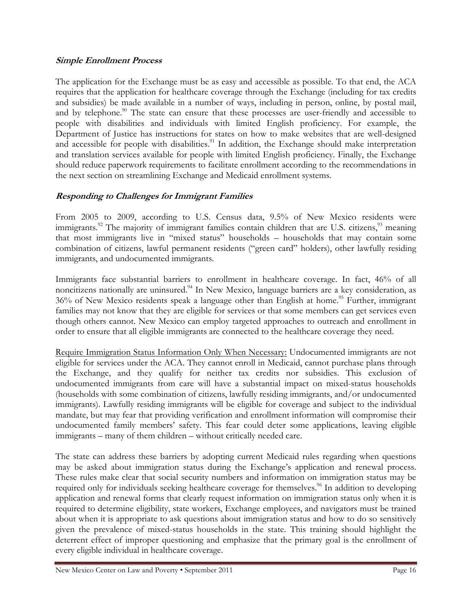#### Simple Enrollment Process

The application for the Exchange must be as easy and accessible as possible. To that end, the ACA requires that the application for healthcare coverage through the Exchange (including for tax credits and subsidies) be made available in a number of ways, including in person, online, by postal mail, and by telephone.<sup>90</sup> The state can ensure that these processes are user-friendly and accessible to people with disabilities and individuals with limited English proficiency. For example, the Department of Justice has instructions for states on how to make websites that are well-designed and accessible for people with disabilities.<sup>91</sup> In addition, the Exchange should make interpretation and translation services available for people with limited English proficiency. Finally, the Exchange should reduce paperwork requirements to facilitate enrollment according to the recommendations in the next section on streamlining Exchange and Medicaid enrollment systems.

#### Responding to Challenges for Immigrant Families

From 2005 to 2009, according to U.S. Census data, 9.5% of New Mexico residents were immigrants.<sup>92</sup> The majority of immigrant families contain children that are U.S. citizens,  $\frac{93}{100}$  meaning that most immigrants live in "mixed status" households – households that may contain some combination of citizens, lawful permanent residents ("green card" holders), other lawfully residing immigrants, and undocumented immigrants.

Immigrants face substantial barriers to enrollment in healthcare coverage. In fact, 46% of all noncitizens nationally are uninsured.<sup>94</sup> In New Mexico, language barriers are a key consideration, as  $36\%$  of New Mexico residents speak a language other than English at home.<sup>95</sup> Further, immigrant families may not know that they are eligible for services or that some members can get services even though others cannot. New Mexico can employ targeted approaches to outreach and enrollment in order to ensure that all eligible immigrants are connected to the healthcare coverage they need.

Require Immigration Status Information Only When Necessary: Undocumented immigrants are not eligible for services under the ACA. They cannot enroll in Medicaid, cannot purchase plans through the Exchange, and they qualify for neither tax credits nor subsidies. This exclusion of undocumented immigrants from care will have a substantial impact on mixed-status households (households with some combination of citizens, lawfully residing immigrants, and/or undocumented immigrants). Lawfully residing immigrants will be eligible for coverage and subject to the individual mandate, but may fear that providing verification and enrollment information will compromise their undocumented family members' safety. This fear could deter some applications, leaving eligible immigrants – many of them children – without critically needed care.

The state can address these barriers by adopting current Medicaid rules regarding when questions may be asked about immigration status during the Exchange's application and renewal process. These rules make clear that social security numbers and information on immigration status may be required only for individuals seeking healthcare coverage for themselves.<sup>96</sup> In addition to developing application and renewal forms that clearly request information on immigration status only when it is required to determine eligibility, state workers, Exchange employees, and navigators must be trained about when it is appropriate to ask questions about immigration status and how to do so sensitively given the prevalence of mixed-status households in the state. This training should highlight the deterrent effect of improper questioning and emphasize that the primary goal is the enrollment of every eligible individual in healthcare coverage.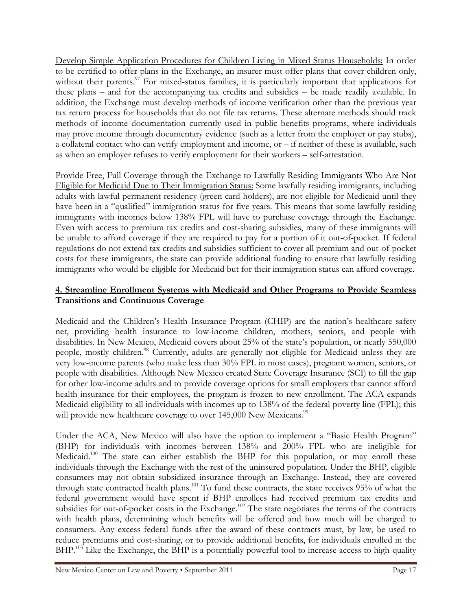Develop Simple Application Procedures for Children Living in Mixed Status Households: In order to be certified to offer plans in the Exchange, an insurer must offer plans that cover children only, without their parents.<sup>97</sup> For mixed-status families, it is particularly important that applications for these plans – and for the accompanying tax credits and subsidies – be made readily available. In addition, the Exchange must develop methods of income verification other than the previous year tax return process for households that do not file tax returns. These alternate methods should track methods of income documentation currently used in public benefits programs, where individuals may prove income through documentary evidence (such as a letter from the employer or pay stubs), a collateral contact who can verify employment and income, or – if neither of these is available, such as when an employer refuses to verify employment for their workers – self-attestation.

Provide Free, Full Coverage through the Exchange to Lawfully Residing Immigrants Who Are Not Eligible for Medicaid Due to Their Immigration Status: Some lawfully residing immigrants, including adults with lawful permanent residency (green card holders), are not eligible for Medicaid until they have been in a "qualified" immigration status for five years. This means that some lawfully residing immigrants with incomes below 138% FPL will have to purchase coverage through the Exchange. Even with access to premium tax credits and cost-sharing subsidies, many of these immigrants will be unable to afford coverage if they are required to pay for a portion of it out-of-pocket. If federal regulations do not extend tax credits and subsidies sufficient to cover all premium and out-of-pocket costs for these immigrants, the state can provide additional funding to ensure that lawfully residing immigrants who would be eligible for Medicaid but for their immigration status can afford coverage.

#### 4. Streamline Enrollment Systems with Medicaid and Other Programs to Provide Seamless Transitions and Continuous Coverage

Medicaid and the Children's Health Insurance Program (CHIP) are the nation's healthcare safety net, providing health insurance to low-income children, mothers, seniors, and people with disabilities. In New Mexico, Medicaid covers about 25% of the state's population, or nearly 550,000 people, mostly children.<sup>98</sup> Currently, adults are generally not eligible for Medicaid unless they are very low-income parents (who make less than 30% FPL in most cases), pregnant women, seniors, or people with disabilities. Although New Mexico created State Coverage Insurance (SCI) to fill the gap for other low-income adults and to provide coverage options for small employers that cannot afford health insurance for their employees, the program is frozen to new enrollment. The ACA expands Medicaid eligibility to all individuals with incomes up to 138% of the federal poverty line (FPL); this will provide new healthcare coverage to over 145,000 New Mexicans.<sup>99</sup>

Under the ACA, New Mexico will also have the option to implement a "Basic Health Program" (BHP) for individuals with incomes between 138% and 200% FPL who are ineligible for Medicaid.<sup>100</sup> The state can either establish the BHP for this population, or may enroll these individuals through the Exchange with the rest of the uninsured population. Under the BHP, eligible consumers may not obtain subsidized insurance through an Exchange. Instead, they are covered through state contracted health plans.<sup>101</sup> To fund these contracts, the state receives 95% of what the federal government would have spent if BHP enrollees had received premium tax credits and subsidies for out-of-pocket costs in the Exchange.<sup>102</sup> The state negotiates the terms of the contracts with health plans, determining which benefits will be offered and how much will be charged to consumers. Any excess federal funds after the award of these contracts must, by law, be used to reduce premiums and cost-sharing, or to provide additional benefits, for individuals enrolled in the BHP.<sup>103</sup> Like the Exchange, the BHP is a potentially powerful tool to increase access to high-quality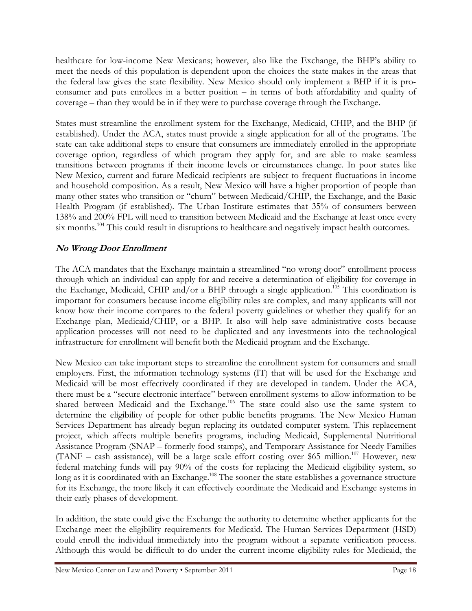healthcare for low-income New Mexicans; however, also like the Exchange, the BHP's ability to meet the needs of this population is dependent upon the choices the state makes in the areas that the federal law gives the state flexibility. New Mexico should only implement a BHP if it is proconsumer and puts enrollees in a better position – in terms of both affordability and quality of coverage – than they would be in if they were to purchase coverage through the Exchange.

States must streamline the enrollment system for the Exchange, Medicaid, CHIP, and the BHP (if established). Under the ACA, states must provide a single application for all of the programs. The state can take additional steps to ensure that consumers are immediately enrolled in the appropriate coverage option, regardless of which program they apply for, and are able to make seamless transitions between programs if their income levels or circumstances change. In poor states like New Mexico, current and future Medicaid recipients are subject to frequent fluctuations in income and household composition. As a result, New Mexico will have a higher proportion of people than many other states who transition or "churn" between Medicaid/CHIP, the Exchange, and the Basic Health Program (if established). The Urban Institute estimates that 35% of consumers between 138% and 200% FPL will need to transition between Medicaid and the Exchange at least once every six months.<sup>104</sup> This could result in disruptions to healthcare and negatively impact health outcomes.

# No Wrong Door Enrollment

The ACA mandates that the Exchange maintain a streamlined "no wrong door" enrollment process through which an individual can apply for and receive a determination of eligibility for coverage in the Exchange, Medicaid, CHIP and/or a BHP through a single application.<sup>105</sup> This coordination is important for consumers because income eligibility rules are complex, and many applicants will not know how their income compares to the federal poverty guidelines or whether they qualify for an Exchange plan, Medicaid/CHIP, or a BHP. It also will help save administrative costs because application processes will not need to be duplicated and any investments into the technological infrastructure for enrollment will benefit both the Medicaid program and the Exchange.

New Mexico can take important steps to streamline the enrollment system for consumers and small employers. First, the information technology systems (IT) that will be used for the Exchange and Medicaid will be most effectively coordinated if they are developed in tandem. Under the ACA, there must be a "secure electronic interface" between enrollment systems to allow information to be shared between Medicaid and the Exchange.<sup>106</sup> The state could also use the same system to determine the eligibility of people for other public benefits programs. The New Mexico Human Services Department has already begun replacing its outdated computer system. This replacement project, which affects multiple benefits programs, including Medicaid, Supplemental Nutritional Assistance Program (SNAP – formerly food stamps), and Temporary Assistance for Needy Families (TANF – cash assistance), will be a large scale effort costing over \$65 million.<sup>107</sup> However, new federal matching funds will pay 90% of the costs for replacing the Medicaid eligibility system, so long as it is coordinated with an Exchange.<sup>108</sup> The sooner the state establishes a governance structure for its Exchange, the more likely it can effectively coordinate the Medicaid and Exchange systems in their early phases of development.

In addition, the state could give the Exchange the authority to determine whether applicants for the Exchange meet the eligibility requirements for Medicaid. The Human Services Department (HSD) could enroll the individual immediately into the program without a separate verification process. Although this would be difficult to do under the current income eligibility rules for Medicaid, the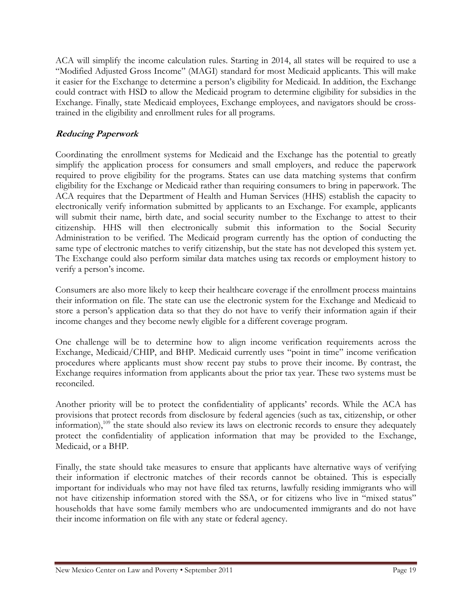ACA will simplify the income calculation rules. Starting in 2014, all states will be required to use a "Modified Adjusted Gross Income" (MAGI) standard for most Medicaid applicants. This will make it easier for the Exchange to determine a person's eligibility for Medicaid. In addition, the Exchange could contract with HSD to allow the Medicaid program to determine eligibility for subsidies in the Exchange. Finally, state Medicaid employees, Exchange employees, and navigators should be crosstrained in the eligibility and enrollment rules for all programs.

# Reducing Paperwork

Coordinating the enrollment systems for Medicaid and the Exchange has the potential to greatly simplify the application process for consumers and small employers, and reduce the paperwork required to prove eligibility for the programs. States can use data matching systems that confirm eligibility for the Exchange or Medicaid rather than requiring consumers to bring in paperwork. The ACA requires that the Department of Health and Human Services (HHS) establish the capacity to electronically verify information submitted by applicants to an Exchange. For example, applicants will submit their name, birth date, and social security number to the Exchange to attest to their citizenship. HHS will then electronically submit this information to the Social Security Administration to be verified. The Medicaid program currently has the option of conducting the same type of electronic matches to verify citizenship, but the state has not developed this system yet. The Exchange could also perform similar data matches using tax records or employment history to verify a person's income.

Consumers are also more likely to keep their healthcare coverage if the enrollment process maintains their information on file. The state can use the electronic system for the Exchange and Medicaid to store a person's application data so that they do not have to verify their information again if their income changes and they become newly eligible for a different coverage program.

One challenge will be to determine how to align income verification requirements across the Exchange, Medicaid/CHIP, and BHP. Medicaid currently uses "point in time" income verification procedures where applicants must show recent pay stubs to prove their income. By contrast, the Exchange requires information from applicants about the prior tax year. These two systems must be reconciled.

Another priority will be to protect the confidentiality of applicants' records. While the ACA has provisions that protect records from disclosure by federal agencies (such as tax, citizenship, or other information),<sup>109</sup> the state should also review its laws on electronic records to ensure they adequately protect the confidentiality of application information that may be provided to the Exchange, Medicaid, or a BHP.

Finally, the state should take measures to ensure that applicants have alternative ways of verifying their information if electronic matches of their records cannot be obtained. This is especially important for individuals who may not have filed tax returns, lawfully residing immigrants who will not have citizenship information stored with the SSA, or for citizens who live in "mixed status" households that have some family members who are undocumented immigrants and do not have their income information on file with any state or federal agency.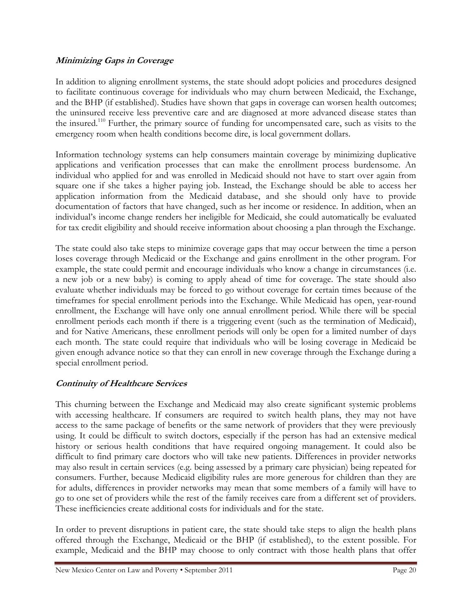#### Minimizing Gaps in Coverage

In addition to aligning enrollment systems, the state should adopt policies and procedures designed to facilitate continuous coverage for individuals who may churn between Medicaid, the Exchange, and the BHP (if established). Studies have shown that gaps in coverage can worsen health outcomes; the uninsured receive less preventive care and are diagnosed at more advanced disease states than the insured.<sup>110</sup> Further, the primary source of funding for uncompensated care, such as visits to the emergency room when health conditions become dire, is local government dollars.

Information technology systems can help consumers maintain coverage by minimizing duplicative applications and verification processes that can make the enrollment process burdensome. An individual who applied for and was enrolled in Medicaid should not have to start over again from square one if she takes a higher paying job. Instead, the Exchange should be able to access her application information from the Medicaid database, and she should only have to provide documentation of factors that have changed, such as her income or residence. In addition, when an individual's income change renders her ineligible for Medicaid, she could automatically be evaluated for tax credit eligibility and should receive information about choosing a plan through the Exchange.

The state could also take steps to minimize coverage gaps that may occur between the time a person loses coverage through Medicaid or the Exchange and gains enrollment in the other program. For example, the state could permit and encourage individuals who know a change in circumstances (i.e. a new job or a new baby) is coming to apply ahead of time for coverage. The state should also evaluate whether individuals may be forced to go without coverage for certain times because of the timeframes for special enrollment periods into the Exchange. While Medicaid has open, year-round enrollment, the Exchange will have only one annual enrollment period. While there will be special enrollment periods each month if there is a triggering event (such as the termination of Medicaid), and for Native Americans, these enrollment periods will only be open for a limited number of days each month. The state could require that individuals who will be losing coverage in Medicaid be given enough advance notice so that they can enroll in new coverage through the Exchange during a special enrollment period.

#### Continuity of Healthcare Services

This churning between the Exchange and Medicaid may also create significant systemic problems with accessing healthcare. If consumers are required to switch health plans, they may not have access to the same package of benefits or the same network of providers that they were previously using. It could be difficult to switch doctors, especially if the person has had an extensive medical history or serious health conditions that have required ongoing management. It could also be difficult to find primary care doctors who will take new patients. Differences in provider networks may also result in certain services (e.g. being assessed by a primary care physician) being repeated for consumers. Further, because Medicaid eligibility rules are more generous for children than they are for adults, differences in provider networks may mean that some members of a family will have to go to one set of providers while the rest of the family receives care from a different set of providers. These inefficiencies create additional costs for individuals and for the state.

In order to prevent disruptions in patient care, the state should take steps to align the health plans offered through the Exchange, Medicaid or the BHP (if established), to the extent possible. For example, Medicaid and the BHP may choose to only contract with those health plans that offer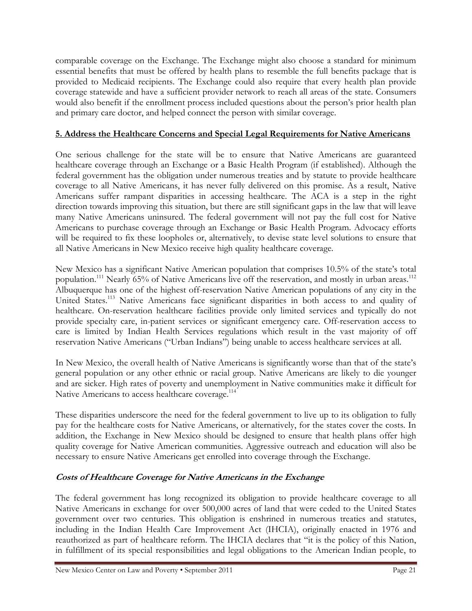comparable coverage on the Exchange. The Exchange might also choose a standard for minimum essential benefits that must be offered by health plans to resemble the full benefits package that is provided to Medicaid recipients. The Exchange could also require that every health plan provide coverage statewide and have a sufficient provider network to reach all areas of the state. Consumers would also benefit if the enrollment process included questions about the person's prior health plan and primary care doctor, and helped connect the person with similar coverage.

#### 5. Address the Healthcare Concerns and Special Legal Requirements for Native Americans

One serious challenge for the state will be to ensure that Native Americans are guaranteed healthcare coverage through an Exchange or a Basic Health Program (if established). Although the federal government has the obligation under numerous treaties and by statute to provide healthcare coverage to all Native Americans, it has never fully delivered on this promise. As a result, Native Americans suffer rampant disparities in accessing healthcare. The ACA is a step in the right direction towards improving this situation, but there are still significant gaps in the law that will leave many Native Americans uninsured. The federal government will not pay the full cost for Native Americans to purchase coverage through an Exchange or Basic Health Program. Advocacy efforts will be required to fix these loopholes or, alternatively, to devise state level solutions to ensure that all Native Americans in New Mexico receive high quality healthcare coverage.

New Mexico has a significant Native American population that comprises 10.5% of the state's total population.<sup>111</sup> Nearly 65% of Native Americans live off the reservation, and mostly in urban areas.<sup>112</sup> Albuquerque has one of the highest off-reservation Native American populations of any city in the United States.<sup>113</sup> Native Americans face significant disparities in both access to and quality of healthcare. On-reservation healthcare facilities provide only limited services and typically do not provide specialty care, in-patient services or significant emergency care. Off-reservation access to care is limited by Indian Health Services regulations which result in the vast majority of off reservation Native Americans ("Urban Indians") being unable to access healthcare services at all.

In New Mexico, the overall health of Native Americans is significantly worse than that of the state's general population or any other ethnic or racial group. Native Americans are likely to die younger and are sicker. High rates of poverty and unemployment in Native communities make it difficult for Native Americans to access healthcare coverage.<sup>114</sup>

These disparities underscore the need for the federal government to live up to its obligation to fully pay for the healthcare costs for Native Americans, or alternatively, for the states cover the costs. In addition, the Exchange in New Mexico should be designed to ensure that health plans offer high quality coverage for Native American communities. Aggressive outreach and education will also be necessary to ensure Native Americans get enrolled into coverage through the Exchange.

#### Costs of Healthcare Coverage for Native Americans in the Exchange

The federal government has long recognized its obligation to provide healthcare coverage to all Native Americans in exchange for over 500,000 acres of land that were ceded to the United States government over two centuries. This obligation is enshrined in numerous treaties and statutes, including in the Indian Health Care Improvement Act (IHCIA), originally enacted in 1976 and reauthorized as part of healthcare reform. The IHCIA declares that "it is the policy of this Nation, in fulfillment of its special responsibilities and legal obligations to the American Indian people, to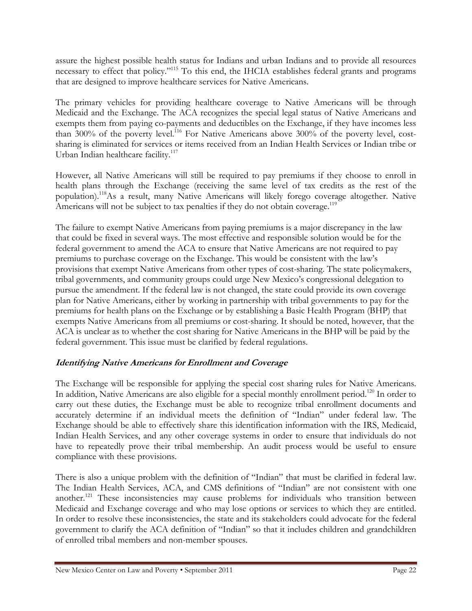assure the highest possible health status for Indians and urban Indians and to provide all resources necessary to effect that policy."<sup>115</sup> To this end, the IHCIA establishes federal grants and programs that are designed to improve healthcare services for Native Americans.

The primary vehicles for providing healthcare coverage to Native Americans will be through Medicaid and the Exchange. The ACA recognizes the special legal status of Native Americans and exempts them from paying co-payments and deductibles on the Exchange, if they have incomes less than 300% of the poverty level.<sup>116</sup> For Native Americans above 300% of the poverty level, costsharing is eliminated for services or items received from an Indian Health Services or Indian tribe or Urban Indian healthcare facility.<sup>117</sup>

However, all Native Americans will still be required to pay premiums if they choose to enroll in health plans through the Exchange (receiving the same level of tax credits as the rest of the population).<sup>118</sup>As a result, many Native Americans will likely forego coverage altogether. Native Americans will not be subject to tax penalties if they do not obtain coverage.<sup>119</sup>

The failure to exempt Native Americans from paying premiums is a major discrepancy in the law that could be fixed in several ways. The most effective and responsible solution would be for the federal government to amend the ACA to ensure that Native Americans are not required to pay premiums to purchase coverage on the Exchange. This would be consistent with the law's provisions that exempt Native Americans from other types of cost-sharing. The state policymakers, tribal governments, and community groups could urge New Mexico's congressional delegation to pursue the amendment. If the federal law is not changed, the state could provide its own coverage plan for Native Americans, either by working in partnership with tribal governments to pay for the premiums for health plans on the Exchange or by establishing a Basic Health Program (BHP) that exempts Native Americans from all premiums or cost-sharing. It should be noted, however, that the ACA is unclear as to whether the cost sharing for Native Americans in the BHP will be paid by the federal government. This issue must be clarified by federal regulations.

# Identifying Native Americans for Enrollment and Coverage

The Exchange will be responsible for applying the special cost sharing rules for Native Americans. In addition, Native Americans are also eligible for a special monthly enrollment period.<sup>120</sup> In order to carry out these duties, the Exchange must be able to recognize tribal enrollment documents and accurately determine if an individual meets the definition of "Indian" under federal law. The Exchange should be able to effectively share this identification information with the IRS, Medicaid, Indian Health Services, and any other coverage systems in order to ensure that individuals do not have to repeatedly prove their tribal membership. An audit process would be useful to ensure compliance with these provisions.

There is also a unique problem with the definition of "Indian" that must be clarified in federal law. The Indian Health Services, ACA, and CMS definitions of "Indian" are not consistent with one another.<sup>121</sup> These inconsistencies may cause problems for individuals who transition between Medicaid and Exchange coverage and who may lose options or services to which they are entitled. In order to resolve these inconsistencies, the state and its stakeholders could advocate for the federal government to clarify the ACA definition of "Indian" so that it includes children and grandchildren of enrolled tribal members and non-member spouses.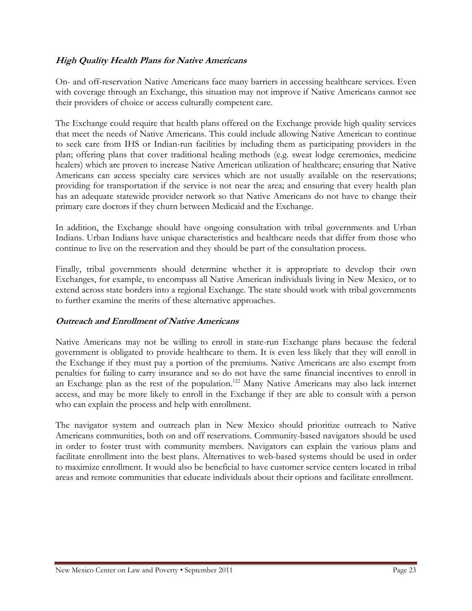#### High Quality Health Plans for Native Americans

On- and off-reservation Native Americans face many barriers in accessing healthcare services. Even with coverage through an Exchange, this situation may not improve if Native Americans cannot see their providers of choice or access culturally competent care.

The Exchange could require that health plans offered on the Exchange provide high quality services that meet the needs of Native Americans. This could include allowing Native American to continue to seek care from IHS or Indian-run facilities by including them as participating providers in the plan; offering plans that cover traditional healing methods (e.g. sweat lodge ceremonies, medicine healers) which are proven to increase Native American utilization of healthcare; ensuring that Native Americans can access specialty care services which are not usually available on the reservations; providing for transportation if the service is not near the area; and ensuring that every health plan has an adequate statewide provider network so that Native Americans do not have to change their primary care doctors if they churn between Medicaid and the Exchange.

In addition, the Exchange should have ongoing consultation with tribal governments and Urban Indians. Urban Indians have unique characteristics and healthcare needs that differ from those who continue to live on the reservation and they should be part of the consultation process.

Finally, tribal governments should determine whether it is appropriate to develop their own Exchanges, for example, to encompass all Native American individuals living in New Mexico, or to extend across state borders into a regional Exchange. The state should work with tribal governments to further examine the merits of these alternative approaches.

#### Outreach and Enrollment of Native Americans

Native Americans may not be willing to enroll in state-run Exchange plans because the federal government is obligated to provide healthcare to them. It is even less likely that they will enroll in the Exchange if they must pay a portion of the premiums. Native Americans are also exempt from penalties for failing to carry insurance and so do not have the same financial incentives to enroll in an Exchange plan as the rest of the population.<sup>122</sup> Many Native Americans may also lack internet access, and may be more likely to enroll in the Exchange if they are able to consult with a person who can explain the process and help with enrollment.

The navigator system and outreach plan in New Mexico should prioritize outreach to Native Americans communities, both on and off reservations. Community-based navigators should be used in order to foster trust with community members. Navigators can explain the various plans and facilitate enrollment into the best plans. Alternatives to web-based systems should be used in order to maximize enrollment. It would also be beneficial to have customer service centers located in tribal areas and remote communities that educate individuals about their options and facilitate enrollment.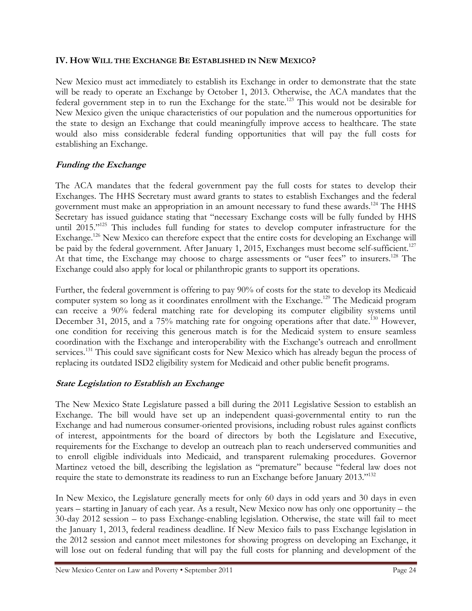#### IV. HOW WILL THE EXCHANGE BE ESTABLISHED IN NEW MEXICO?

New Mexico must act immediately to establish its Exchange in order to demonstrate that the state will be ready to operate an Exchange by October 1, 2013. Otherwise, the ACA mandates that the federal government step in to run the Exchange for the state.<sup>123</sup> This would not be desirable for New Mexico given the unique characteristics of our population and the numerous opportunities for the state to design an Exchange that could meaningfully improve access to healthcare. The state would also miss considerable federal funding opportunities that will pay the full costs for establishing an Exchange.

#### Funding the Exchange

The ACA mandates that the federal government pay the full costs for states to develop their Exchanges. The HHS Secretary must award grants to states to establish Exchanges and the federal government must make an appropriation in an amount necessary to fund these awards.<sup>124</sup> The HHS Secretary has issued guidance stating that "necessary Exchange costs will be fully funded by HHS until 2015."<sup>125</sup> This includes full funding for states to develop computer infrastructure for the Exchange.<sup>126</sup> New Mexico can therefore expect that the entire costs for developing an Exchange will be paid by the federal government. After January 1, 2015, Exchanges must become self-sufficient.<sup>127</sup> At that time, the Exchange may choose to charge assessments or "user fees" to insurers.<sup>128</sup> The Exchange could also apply for local or philanthropic grants to support its operations.

Further, the federal government is offering to pay 90% of costs for the state to develop its Medicaid computer system so long as it coordinates enrollment with the Exchange.<sup>129</sup> The Medicaid program can receive a 90% federal matching rate for developing its computer eligibility systems until December 31, 2015, and a 75% matching rate for ongoing operations after that date.<sup>130</sup> However, one condition for receiving this generous match is for the Medicaid system to ensure seamless coordination with the Exchange and interoperability with the Exchange's outreach and enrollment services.<sup>131</sup> This could save significant costs for New Mexico which has already begun the process of replacing its outdated ISD2 eligibility system for Medicaid and other public benefit programs.

#### State Legislation to Establish an Exchange

The New Mexico State Legislature passed a bill during the 2011 Legislative Session to establish an Exchange. The bill would have set up an independent quasi-governmental entity to run the Exchange and had numerous consumer-oriented provisions, including robust rules against conflicts of interest, appointments for the board of directors by both the Legislature and Executive, requirements for the Exchange to develop an outreach plan to reach underserved communities and to enroll eligible individuals into Medicaid, and transparent rulemaking procedures. Governor Martinez vetoed the bill, describing the legislation as "premature" because "federal law does not require the state to demonstrate its readiness to run an Exchange before January 2013."<sup>132</sup>

In New Mexico, the Legislature generally meets for only 60 days in odd years and 30 days in even years – starting in January of each year. As a result, New Mexico now has only one opportunity – the 30-day 2012 session – to pass Exchange-enabling legislation. Otherwise, the state will fail to meet the January 1, 2013, federal readiness deadline. If New Mexico fails to pass Exchange legislation in the 2012 session and cannot meet milestones for showing progress on developing an Exchange, it will lose out on federal funding that will pay the full costs for planning and development of the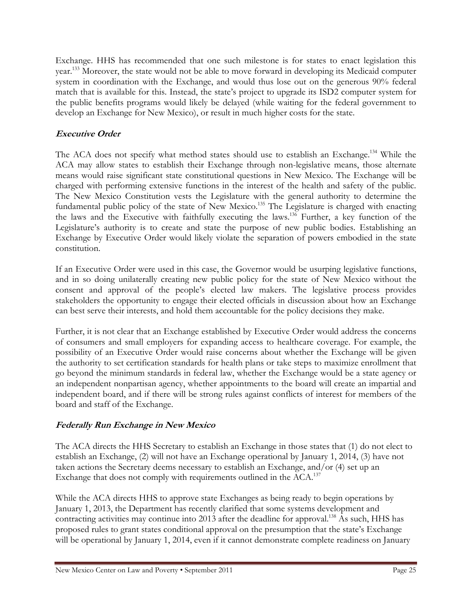Exchange. HHS has recommended that one such milestone is for states to enact legislation this year.<sup>133</sup> Moreover, the state would not be able to move forward in developing its Medicaid computer system in coordination with the Exchange, and would thus lose out on the generous 90% federal match that is available for this. Instead, the state's project to upgrade its ISD2 computer system for the public benefits programs would likely be delayed (while waiting for the federal government to develop an Exchange for New Mexico), or result in much higher costs for the state.

# Executive Order

The ACA does not specify what method states should use to establish an Exchange.<sup>134</sup> While the ACA may allow states to establish their Exchange through non-legislative means, those alternate means would raise significant state constitutional questions in New Mexico. The Exchange will be charged with performing extensive functions in the interest of the health and safety of the public. The New Mexico Constitution vests the Legislature with the general authority to determine the fundamental public policy of the state of New Mexico.<sup>135</sup> The Legislature is charged with enacting the laws and the Executive with faithfully executing the laws.<sup>136</sup> Further, a key function of the Legislature's authority is to create and state the purpose of new public bodies. Establishing an Exchange by Executive Order would likely violate the separation of powers embodied in the state constitution.

If an Executive Order were used in this case, the Governor would be usurping legislative functions, and in so doing unilaterally creating new public policy for the state of New Mexico without the consent and approval of the people's elected law makers. The legislative process provides stakeholders the opportunity to engage their elected officials in discussion about how an Exchange can best serve their interests, and hold them accountable for the policy decisions they make.

Further, it is not clear that an Exchange established by Executive Order would address the concerns of consumers and small employers for expanding access to healthcare coverage. For example, the possibility of an Executive Order would raise concerns about whether the Exchange will be given the authority to set certification standards for health plans or take steps to maximize enrollment that go beyond the minimum standards in federal law, whether the Exchange would be a state agency or an independent nonpartisan agency, whether appointments to the board will create an impartial and independent board, and if there will be strong rules against conflicts of interest for members of the board and staff of the Exchange.

#### Federally Run Exchange in New Mexico

The ACA directs the HHS Secretary to establish an Exchange in those states that (1) do not elect to establish an Exchange, (2) will not have an Exchange operational by January 1, 2014, (3) have not taken actions the Secretary deems necessary to establish an Exchange, and/or (4) set up an Exchange that does not comply with requirements outlined in the ACA.<sup>137</sup>

While the ACA directs HHS to approve state Exchanges as being ready to begin operations by January 1, 2013, the Department has recently clarified that some systems development and contracting activities may continue into 2013 after the deadline for approval.<sup>138</sup> As such, HHS has proposed rules to grant states conditional approval on the presumption that the state's Exchange will be operational by January 1, 2014, even if it cannot demonstrate complete readiness on January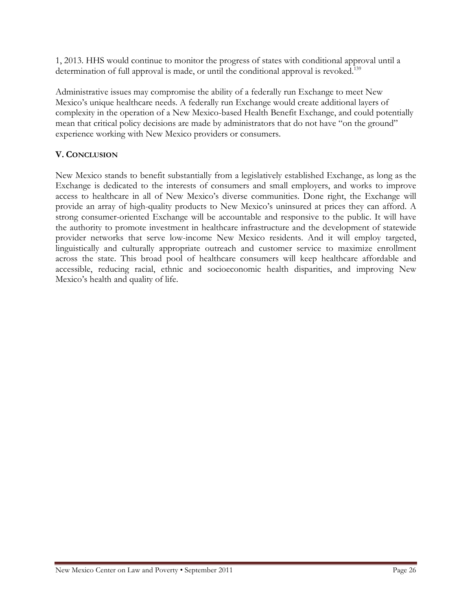1, 2013. HHS would continue to monitor the progress of states with conditional approval until a determination of full approval is made, or until the conditional approval is revoked.<sup>139</sup>

Administrative issues may compromise the ability of a federally run Exchange to meet New Mexico's unique healthcare needs. A federally run Exchange would create additional layers of complexity in the operation of a New Mexico-based Health Benefit Exchange, and could potentially mean that critical policy decisions are made by administrators that do not have "on the ground" experience working with New Mexico providers or consumers.

# V. CONCLUSION

New Mexico stands to benefit substantially from a legislatively established Exchange, as long as the Exchange is dedicated to the interests of consumers and small employers, and works to improve access to healthcare in all of New Mexico's diverse communities. Done right, the Exchange will provide an array of high-quality products to New Mexico's uninsured at prices they can afford. A strong consumer-oriented Exchange will be accountable and responsive to the public. It will have the authority to promote investment in healthcare infrastructure and the development of statewide provider networks that serve low-income New Mexico residents. And it will employ targeted, linguistically and culturally appropriate outreach and customer service to maximize enrollment across the state. This broad pool of healthcare consumers will keep healthcare affordable and accessible, reducing racial, ethnic and socioeconomic health disparities, and improving New Mexico's health and quality of life.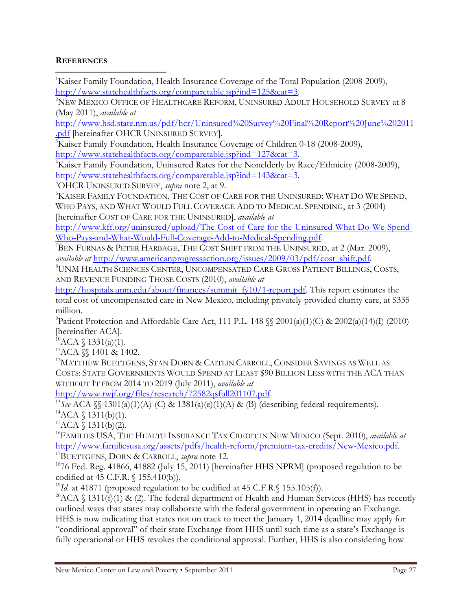#### **REFERENCES**  $\overline{a}$

<sup>1</sup>Kaiser Family Foundation, Health Insurance Coverage of the Total Population (2008-2009), http://www.statehealthfacts.org/comparetable.jsp?ind=125&cat=3.

<sup>2</sup>NEW MEXICO OFFICE OF HEALTHCARE REFORM, UNINSURED ADULT HOUSEHOLD SURVEY at 8 (May 2011), available at

http://www.hsd.state.nm.us/pdf/hcr/Uninsured%20Survey%20Final%20Report%20June%202011 .pdf [hereinafter OHCR UNINSURED SURVEY].

<sup>3</sup>Kaiser Family Foundation, Health Insurance Coverage of Children 0-18 (2008-2009), http://www.statehealthfacts.org/comparetable.jsp?ind=127&cat=3.

<sup>4</sup>Kaiser Family Foundation, Uninsured Rates for the Nonelderly by Race/Ethnicity (2008-2009), http://www.statehealthfacts.org/comparetable.jsp?ind=143&cat=3.

<sup>5</sup>OHCR UNINSURED SURVEY, *supra* note 2, at 9.

<sup>6</sup>KAISER FAMILY FOUNDATION, THE COST OF CARE FOR THE UNINSURED: WHAT DO WE SPEND, WHO PAYS, AND WHAT WOULD FULL COVERAGE ADD TO MEDICAL SPENDING, at 3 (2004) [hereinafter COST OF CARE FOR THE UNINSURED], available at

http://www.kff.org/uninsured/upload/The-Cost-of-Care-for-the-Uninsured-What-Do-We-Spend-Who-Pays-and-What-Would-Full-Coverage-Add-to-Medical-Spending.pdf.

 $^7$ BEN FURNAS & PETER HARBAGE, THE COST SHIFT FROM THE UNINSURED, at 2 (Mar. 2009), available at http://www.americanprogressaction.org/issues/2009/03/pdf/cost\_shift.pdf.

<sup>8</sup>UNM HEALTH SCIENCES CENTER, UNCOMPENSATED CARE GROSS PATIENT BILLINGS, COSTS, AND REVENUE FUNDING THOSE COSTS (2010), available at

http://hospitals.unm.edu/about/finances/summit\_fy10/1-report.pdf. This report estimates the total cost of uncompensated care in New Mexico, including privately provided charity care, at \$335 million.

<sup>9</sup>Patient Protection and Affordable Care Act, 111 P.L. 148  $\mathcal{N}$  2001(a)(1)(C) & 2002(a)(14)(I) (2010) [hereinafter ACA].

 $^{10}$ ACA § 1331(a)(1).

 $11$ ACA  $\$  1401 & 1402.

<sup>12</sup>MATTHEW BUETTGENS, STAN DORN & CAITLIN CARROLL, CONSIDER SAVINGS AS WELL AS COSTS: STATE GOVERNMENTS WOULD SPEND AT LEAST \$90 BILLION LESS WITH THE ACA THAN WITHOUT IT FROM 2014 TO 2019 (July 2011), available at

http://www.rwjf.org/files/research/72582qsfull201107.pdf.

<sup>13</sup>See ACA  $\mathcal{L}$  1301(a)(1)(A)-(C) & 1381(a)(e)(1)(A) & (B) (describing federal requirements).  $^{14}$ ACA § 1311(b)(1).

 ${}^{15}ACA \$  1311(b)(2).

<sup>16</sup>FAMILIES USA, THE HEALTH INSURANCE TAX CREDIT IN NEW MEXICO (Sept. 2010), *available at* http://www.familiesusa.org/assets/pdfs/health-reform/premium-tax-credits/New-Mexico.pdf. <sup>17</sup>BUETTGENS, DORN & CARROLL, *supra* note 12.

<sup>18</sup>76 Fed. Reg. 41866, 41882 (July 15, 2011) [hereinafter HHS NPRM] (proposed regulation to be codified at 45 C.F.R. § 155.410(b)).

<sup>19</sup>Id. at 41871 (proposed regulation to be codified at 45 C.F.R. § 155.105(f)).

<sup>20</sup>ACA § 1311(f)(1) & (2). The federal department of Health and Human Services (HHS) has recently outlined ways that states may collaborate with the federal government in operating an Exchange. HHS is now indicating that states not on track to meet the January 1, 2014 deadline may apply for "conditional approval" of their state Exchange from HHS until such time as a state's Exchange is fully operational or HHS revokes the conditional approval. Further, HHS is also considering how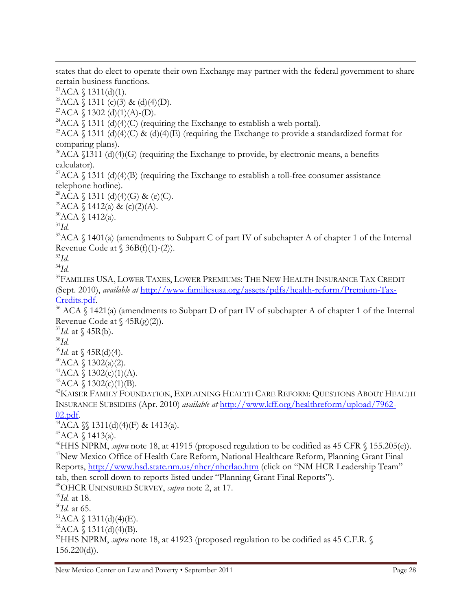states that do elect to operate their own Exchange may partner with the federal government to share certain business functions.

 ${}^{21}ACA \$  1311(d)(1).

<sup>22</sup>ACA  $\bar{S}$  1311 (c)(3) & (d)(4)(D).

 ${}^{23}$ ACA § 1302 (d)(1)(A)-(D).

<sup>24</sup>ACA  $\hat{\S}$  1311 (d)(4)(C) (requiring the Exchange to establish a web portal).

<sup>25</sup>ACA § 1311 (d)(4)(C) & (d)(4)(E) (requiring the Exchange to provide a standardized format for comparing plans).

<sup>26</sup>ACA  $\Lambda$  1311 (d)(4)(G) (requiring the Exchange to provide, by electronic means, a benefits calculator).

<sup>27</sup>ACA  $\S$  1311 (d)(4)(B) (requiring the Exchange to establish a toll-free consumer assistance telephone hotline).

 $28ACA \$  1311 (d)(4)(G) & (e)(C).

<sup>29</sup>ACA  $\{1412(a) \& (c)(2)(A).$ 

<sup>30</sup>ACA § 1412(a).

 $31$ Id.

 $\overline{a}$ 

 $32$ ACA  $\Diamond$  1401(a) (amendments to Subpart C of part IV of subchapter A of chapter 1 of the Internal Revenue Code at  $\S$  36B(f)(1)-(2)).

 $33Id$ .  $34$ Id.

<sup>35</sup>FAMILIES USA, LOWER TAXES, LOWER PREMIUMS: THE NEW HEALTH INSURANCE TAX CREDIT (Sept. 2010), available at http://www.familiesusa.org/assets/pdfs/health-reform/Premium-Tax-Credits.pdf.

 $36$  ACA § 1421(a) (amendments to Subpart D of part IV of subchapter A of chapter 1 of the Internal Revenue Code at  $\{45R(g)(2)\}.$ 

 $37$ Id. at  $\{(45R(b))$ .  $38$ Id.  $39$ Id. at § 45R(d)(4).  $^{40}$ ACA § 1302(a)(2).

 $^{41}$ ACA § 1302(c)(1)(A).

 $^{42}$ ACA § 1302(c)(1)(B).

<sup>43</sup>KAISER FAMILY FOUNDATION, EXPLAINING HEALTH CARE REFORM: QUESTIONS ABOUT HEALTH INSURANCE SUBSIDIES (Apr. 2010) available at http://www.kff.org/healthreform/upload/7962- 02.pdf.

 $^{44}$ ACA  $\$  1311(d)(4)(F) & 1413(a).

 $^{45}$ ACA  $\{$  1413(a).

<sup>46</sup>HHS NPRM, *supra* note 18, at 41915 (proposed regulation to be codified as 45 CFR § 155.205(e)). <sup>47</sup>New Mexico Office of Health Care Reform, National Healthcare Reform, Planning Grant Final Reports, http://www.hsd.state.nm.us/nhcr/nhcrlao.htm (click on "NM HCR Leadership Team" tab, then scroll down to reports listed under "Planning Grant Final Reports").

<sup>48</sup>OHCR UNINSURED SURVEY, *supra* note 2, at 17.

 $49$ Id. at 18.

 $^{50}$ Id. at 65.

 ${}^{51}ACA \$  1311(d)(4)(E).

 ${}^{52}$ ACA  $\bar{\S}$  1311(d)(4)(B).

 $53$ HHS NPRM, *supra* note 18, at 41923 (proposed regulation to be codified as 45 C.F.R. §  $156.220(d)$ .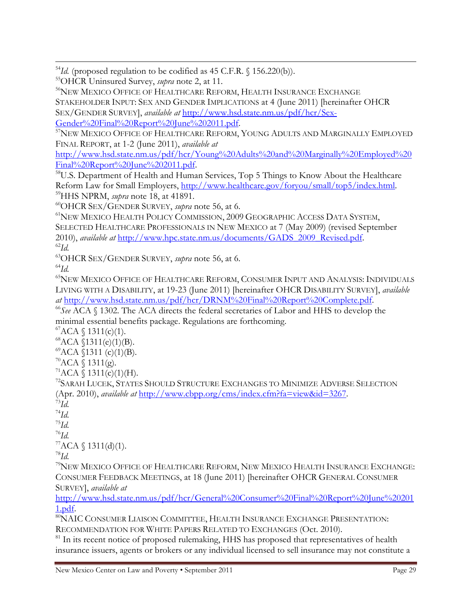$54$ Id. (proposed regulation to be codified as 45 C.F.R. § 156.220(b)).

<sup>55</sup>OHCR Uninsured Survey, *supra* note 2, at 11.

<sup>56</sup>NEW MEXICO OFFICE OF HEALTHCARE REFORM, HEALTH INSURANCE EXCHANGE STAKEHOLDER INPUT: SEX AND GENDER IMPLICATIONS at 4 (June 2011) [hereinafter OHCR SEX/GENDER SURVEY], available at http://www.hsd.state.nm.us/pdf/hcr/Sex-Gender%20Final%20Report%20June%202011.pdf.

<sup>57</sup>NEW MEXICO OFFICE OF HEALTHCARE REFORM, YOUNG ADULTS AND MARGINALLY EMPLOYED FINAL REPORT, at 1-2 (June 2011), available at

http://www.hsd.state.nm.us/pdf/hcr/Young%20Adults%20and%20Marginally%20Employed%20 Final%20Report%20June%202011.pdf.

<sup>58</sup>U.S. Department of Health and Human Services, Top 5 Things to Know About the Healthcare Reform Law for Small Employers, http://www.healthcare.gov/foryou/small/top5/index.html. <sup>59</sup>HHS NPRM, *supra* note 18, at 41891.

<sup>60</sup>OHCR SEX/GENDER SURVEY, *supra* note 56, at 6.

<sup>61</sup>NEW MEXICO HEALTH POLICY COMMISSION, 2009 GEOGRAPHIC ACCESS DATA SYSTEM, SELECTED HEALTHCARE PROFESSIONALS IN NEW MEXICO at 7 (May 2009) (revised September 2010), available at http://www.hpc.state.nm.us/documents/GADS\_2009\_Revised.pdf.  $^{62}Id.$ 

<sup>63</sup>OHCR SEX/GENDER SURVEY, *supra* note 56, at 6.

 $^{64}Id.$ 

 $\overline{a}$ 

<sup>65</sup>NEW MEXICO OFFICE OF HEALTHCARE REFORM, CONSUMER INPUT AND ANALYSIS: INDIVIDUALS LIVING WITH A DISABILITY, at 19-23 (June 2011) [hereinafter OHCR DISABILITY SURVEY], available at http://www.hsd.state.nm.us/pdf/hcr/DRNM%20Final%20Report%20Complete.pdf.

 $^{66}$ See ACA  $\Diamond$  1302. The ACA directs the federal secretaries of Labor and HHS to develop the minimal essential benefits package. Regulations are forthcoming.

 ${}^{67}ACA \$  1311(c)(1).

 ${}^{68}$ ACA  $\bar{S}$ 1311(e)(1)(B).

 ${}^{69}$ ACA  $$1311 (c)(1)(B).$ 

 $\mathrm{70}_{\rm ACA}$  \ 1311(g).

 $71ACA \$  1311(c)(1)(H).

<sup>72</sup>SARAH LUCEK, STATES SHOULD STRUCTURE EXCHANGES TO MINIMIZE ADVERSE SELECTION (Apr. 2010), *available at* http://www.cbpp.org/cms/index.cfm?fa=view&id=3267.

 $^{73}Id.$ 

 $^{74}Id.$  $\mathrm{^{75}Id.}$ 

 $^{76}Id.$ 

 ${}^{77}ACA \$  1311(d)(1).

 $^{78}Id.$ 

<sup>79</sup>NEW MEXICO OFFICE OF HEALTHCARE REFORM, NEW MEXICO HEALTH INSURANCE EXCHANGE: CONSUMER FEEDBACK MEETINGS, at 18 (June 2011) [hereinafter OHCR GENERAL CONSUMER SURVEY], available at

http://www.hsd.state.nm.us/pdf/hcr/General%20Consumer%20Final%20Report%20June%20201 1.pdf.

80NAIC CONSUMER LIAISON COMMITTEE, HEALTH INSURANCE EXCHANGE PRESENTATION: RECOMMENDATION FOR WHITE PAPERS RELATED TO EXCHANGES (Oct. 2010).

 $81$  In its recent notice of proposed rulemaking, HHS has proposed that representatives of health insurance issuers, agents or brokers or any individual licensed to sell insurance may not constitute a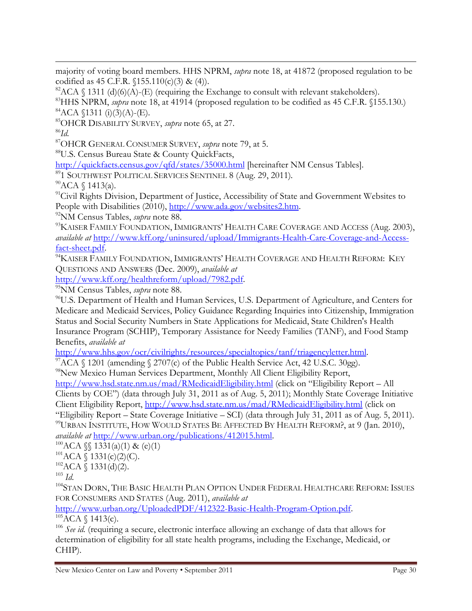majority of voting board members. HHS NPRM, supra note 18, at 41872 (proposed regulation to be codified as 45 C.F.R.  $(155.110(c)(3) & (4))$ .

 $82$ ACA § 1311 (d)(6)(A)-(E) (requiring the Exchange to consult with relevant stakeholders).

<sup>83</sup>HHS NPRM, *supra* note 18, at 41914 (proposed regulation to be codified as 45 C.F.R.  $(155.130)$ )  ${}^{84}$ ACA  $$1311$  (i)(3)(A)-(E).

<sup>85</sup>OHCR DISABILITY SURVEY, *supra* note 65, at 27.

 $^{86}Id.$ 

 $\overline{a}$ 

<sup>87</sup>OHCR GENERAL CONSUMER SURVEY, *supra* note 79, at 5.

<sup>88</sup>U.S. Census Bureau State & County QuickFacts,

http://quickfacts.census.gov/qfd/states/35000.html [hereinafter NM Census Tables].

<sup>89</sup>1 SOUTHWEST POLITICAL SERVICES SENTINEL 8 (Aug. 29, 2011).

<sup>90</sup>ACA § 1413(a).

<sup>91</sup>Civil Rights Division, Department of Justice, Accessibility of State and Government Websites to People with Disabilities (2010), http://www.ada.gov/websites2.htm.

<sup>92</sup>NM Census Tables, *supra* note 88.

<sup>93</sup>KAISER FAMILY FOUNDATION, IMMIGRANTS' HEALTH CARE COVERAGE AND ACCESS (Aug. 2003), available at http://www.kff.org/uninsured/upload/Immigrants-Health-Care-Coverage-and-Accessfact-sheet.pdf.

<sup>94</sup>KAISER FAMILY FOUNDATION, IMMIGRANTS' HEALTH COVERAGE AND HEALTH REFORM: KEY QUESTIONS AND ANSWERS (Dec. 2009), available at

http://www.kff.org/healthreform/upload/7982.pdf.

<sup>95</sup>NM Census Tables, *supra* note 88.

<sup>96</sup>U.S. Department of Health and Human Services, U.S. Department of Agriculture, and Centers for Medicare and Medicaid Services, Policy Guidance Regarding Inquiries into Citizenship, Immigration Status and Social Security Numbers in State Applications for Medicaid, State Children's Health Insurance Program (SCHIP), Temporary Assistance for Needy Families (TANF), and Food Stamp Benefits, available at

http://www.hhs.gov/ocr/civilrights/resources/specialtopics/tanf/triagencyletter.html.

 $97\text{\AA}$ CA § 1201 (amending § 2707(c) of the Public Health Service Act, 42 U.S.C. 30gg).

<sup>98</sup>New Mexico Human Services Department, Monthly All Client Eligibility Report,

http://www.hsd.state.nm.us/mad/RMedicaidEligibility.html (click on "Eligibility Report – All Clients by COE") (data through July 31, 2011 as of Aug. 5, 2011); Monthly State Coverage Initiative Client Eligibility Report, http://www.hsd.state.nm.us/mad/RMedicaidEligibility.html (click on

"Eligibility Report – State Coverage Initiative – SCI) (data through July 31, 2011 as of Aug. 5, 2011). <sup>99</sup>URBAN INSTITUTE, HOW WOULD STATES BE AFFECTED BY HEALTH REFORM?, at 9 (Jan. 2010), available at http://www.urban.org/publications/412015.html.

 $100ACA \$ §1331(a)(1) & (e)(1)

 ${}^{101}ACA \sqrt{} 1331(c)(2)(C)$ .

 $102ACA \$  1331(d)(2).

 $^{103}$   $\emph{Id.}$ 

<sup>104</sup>STAN DORN, THE BASIC HEALTH PLAN OPTION UNDER FEDERAL HEALTHCARE REFORM: ISSUES FOR CONSUMERS AND STATES (Aug. 2011), available at

http://www.urban.org/UploadedPDF/412322-Basic-Health-Program-Option.pdf.  $105\overline{AC}A \$  1413(c).

<sup>106</sup> See id. (requiring a secure, electronic interface allowing an exchange of data that allows for determination of eligibility for all state health programs, including the Exchange, Medicaid, or CHIP).